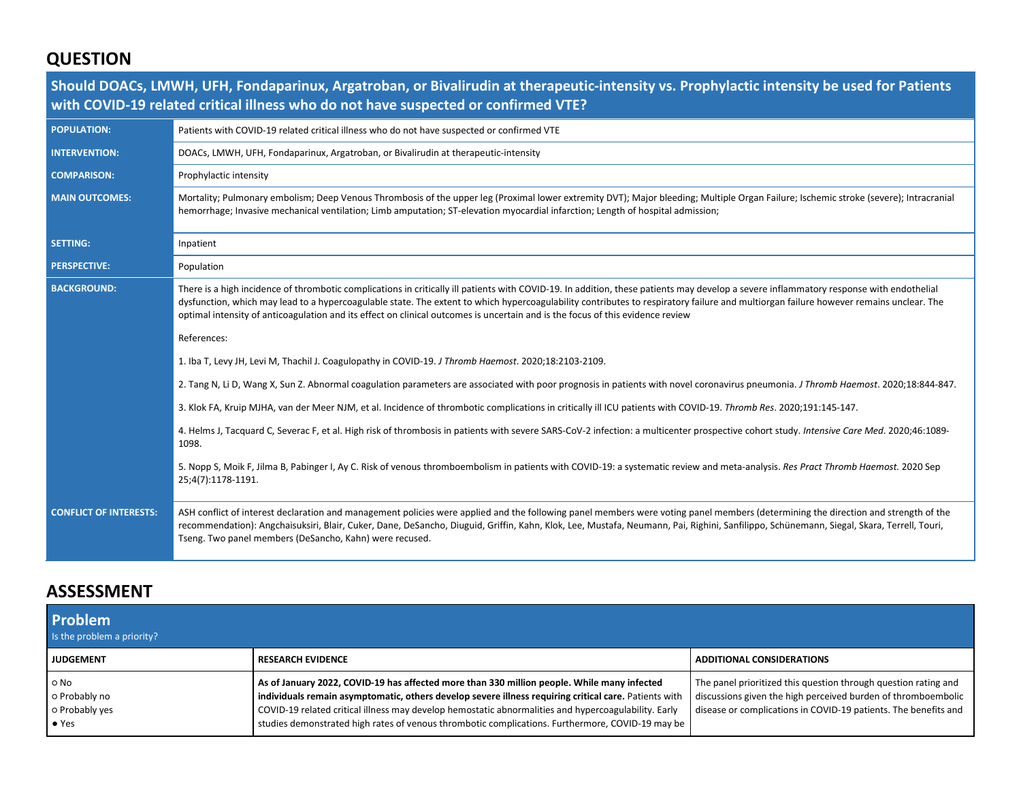# **QUESTION**

|                               | Should DOACs, LMWH, UFH, Fondaparinux, Argatroban, or Bivalirudin at therapeutic-intensity vs. Prophylactic intensity be used for Patients<br>with COVID-19 related critical illness who do not have suspected or confirmed VTE?                                                                                                                                                                                                                                                                                   |
|-------------------------------|--------------------------------------------------------------------------------------------------------------------------------------------------------------------------------------------------------------------------------------------------------------------------------------------------------------------------------------------------------------------------------------------------------------------------------------------------------------------------------------------------------------------|
| <b>POPULATION:</b>            | Patients with COVID-19 related critical illness who do not have suspected or confirmed VTE                                                                                                                                                                                                                                                                                                                                                                                                                         |
| <b>INTERVENTION:</b>          | DOACs, LMWH, UFH, Fondaparinux, Argatroban, or Bivalirudin at therapeutic-intensity                                                                                                                                                                                                                                                                                                                                                                                                                                |
| <b>COMPARISON:</b>            | Prophylactic intensity                                                                                                                                                                                                                                                                                                                                                                                                                                                                                             |
| <b>MAIN OUTCOMES:</b>         | Mortality; Pulmonary embolism; Deep Venous Thrombosis of the upper leg (Proximal lower extremity DVT); Major bleeding; Multiple Organ Failure; Ischemic stroke (severe); Intracranial<br>hemorrhage; Invasive mechanical ventilation; Limb amputation; ST-elevation myocardial infarction; Length of hospital admission;                                                                                                                                                                                           |
| <b>SETTING:</b>               | Inpatient                                                                                                                                                                                                                                                                                                                                                                                                                                                                                                          |
| <b>PERSPECTIVE:</b>           | Population                                                                                                                                                                                                                                                                                                                                                                                                                                                                                                         |
| <b>BACKGROUND:</b>            | There is a high incidence of thrombotic complications in critically ill patients with COVID-19. In addition, these patients may develop a severe inflammatory response with endothelial<br>dysfunction, which may lead to a hypercoagulable state. The extent to which hypercoagulability contributes to respiratory failure and multiorgan failure however remains unclear. The<br>optimal intensity of anticoagulation and its effect on clinical outcomes is uncertain and is the focus of this evidence review |
|                               | References:                                                                                                                                                                                                                                                                                                                                                                                                                                                                                                        |
|                               | 1. Iba T, Levy JH, Levi M, Thachil J. Coagulopathy in COVID-19. J Thromb Haemost. 2020;18:2103-2109.                                                                                                                                                                                                                                                                                                                                                                                                               |
|                               | 2. Tang N, Li D, Wang X, Sun Z. Abnormal coagulation parameters are associated with poor prognosis in patients with novel coronavirus pneumonia. J Thromb Haemost. 2020;18:844-847.                                                                                                                                                                                                                                                                                                                                |
|                               | 3. Klok FA, Kruip MJHA, van der Meer NJM, et al. Incidence of thrombotic complications in critically ill ICU patients with COVID-19. Thromb Res. 2020;191:145-147.                                                                                                                                                                                                                                                                                                                                                 |
|                               | 4. Helms J, Tacquard C, Severac F, et al. High risk of thrombosis in patients with severe SARS-CoV-2 infection: a multicenter prospective cohort study. Intensive Care Med. 2020;46:1089-<br>1098.                                                                                                                                                                                                                                                                                                                 |
|                               | 5. Nopp S, Moik F, Jilma B, Pabinger I, Ay C. Risk of venous thromboembolism in patients with COVID-19: a systematic review and meta-analysis. Res Pract Thromb Haemost. 2020 Sep<br>25;4(7):1178-1191.                                                                                                                                                                                                                                                                                                            |
| <b>CONFLICT OF INTERESTS:</b> | ASH conflict of interest declaration and management policies were applied and the following panel members were voting panel members (determining the direction and strength of the<br>recommendation): Angchaisuksiri, Blair, Cuker, Dane, DeSancho, Diuguid, Griffin, Kahn, Klok, Lee, Mustafa, Neumann, Pai, Righini, Sanfilippo, Schünemann, Siegal, Skara, Terrell, Touri,<br>Tseng. Two panel members (DeSancho, Kahn) were recused.                                                                          |

## **ASSESSMENT**

| <b>Problem</b><br>Is the problem a priority?                   |                                                                                                                                                                                                                                                                                                                                                                                                                  |                                                                                                                                                                                                     |
|----------------------------------------------------------------|------------------------------------------------------------------------------------------------------------------------------------------------------------------------------------------------------------------------------------------------------------------------------------------------------------------------------------------------------------------------------------------------------------------|-----------------------------------------------------------------------------------------------------------------------------------------------------------------------------------------------------|
| <b>JUDGEMENT</b>                                               | <b>RESEARCH EVIDENCE</b>                                                                                                                                                                                                                                                                                                                                                                                         | <b>ADDITIONAL CONSIDERATIONS</b>                                                                                                                                                                    |
| $\circ$ No<br>o Probably no<br>o Probably yes<br>$\bullet$ Yes | As of January 2022, COVID-19 has affected more than 330 million people. While many infected<br>individuals remain asymptomatic, others develop severe illness requiring critical care. Patients with<br>COVID-19 related critical illness may develop hemostatic abnormalities and hypercoagulability. Early<br>studies demonstrated high rates of venous thrombotic complications. Furthermore, COVID-19 may be | The panel prioritized this question through question rating and<br>discussions given the high perceived burden of thromboembolic<br>disease or complications in COVID-19 patients. The benefits and |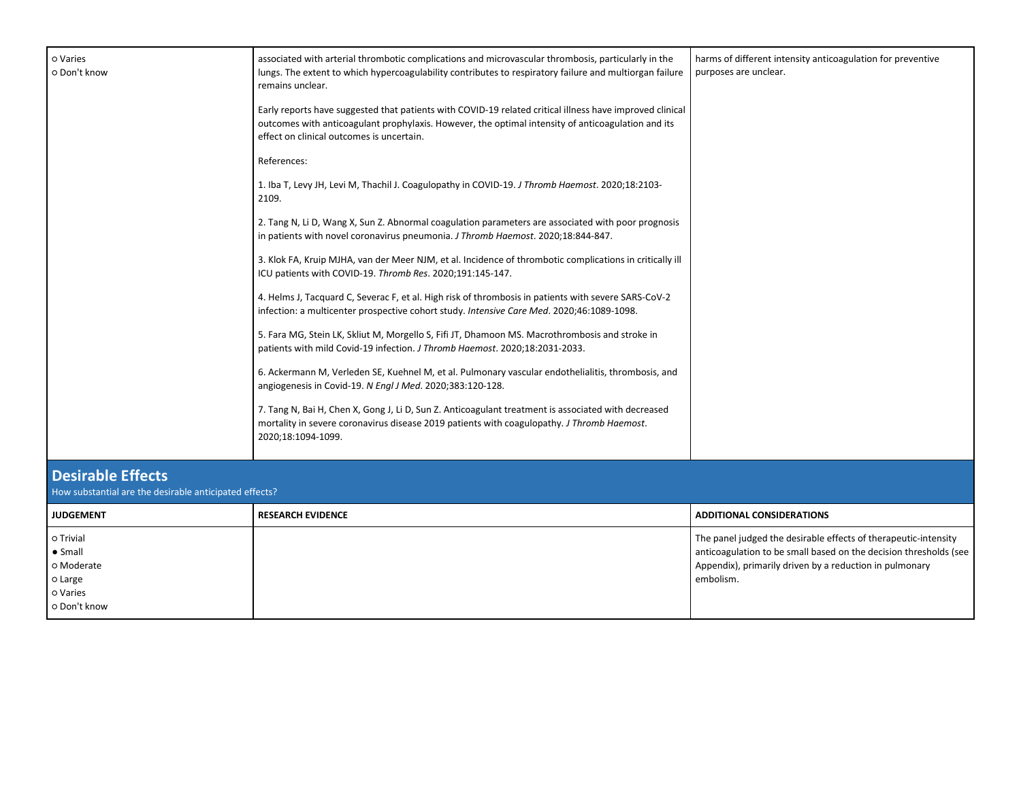| o Varies<br>o Don't know                                                           | associated with arterial thrombotic complications and microvascular thrombosis, particularly in the<br>lungs. The extent to which hypercoagulability contributes to respiratory failure and multiorgan failure<br>remains unclear.                          | harms of different intensity anticoagulation for preventive<br>purposes are unclear.                                                                                                                         |
|------------------------------------------------------------------------------------|-------------------------------------------------------------------------------------------------------------------------------------------------------------------------------------------------------------------------------------------------------------|--------------------------------------------------------------------------------------------------------------------------------------------------------------------------------------------------------------|
|                                                                                    | Early reports have suggested that patients with COVID-19 related critical illness have improved clinical<br>outcomes with anticoagulant prophylaxis. However, the optimal intensity of anticoagulation and its<br>effect on clinical outcomes is uncertain. |                                                                                                                                                                                                              |
|                                                                                    | References:                                                                                                                                                                                                                                                 |                                                                                                                                                                                                              |
|                                                                                    | 1. Iba T, Levy JH, Levi M, Thachil J. Coagulopathy in COVID-19. J Thromb Haemost. 2020;18:2103-<br>2109.                                                                                                                                                    |                                                                                                                                                                                                              |
|                                                                                    | 2. Tang N, Li D, Wang X, Sun Z. Abnormal coagulation parameters are associated with poor prognosis<br>in patients with novel coronavirus pneumonia. J Thromb Haemost. 2020;18:844-847.                                                                      |                                                                                                                                                                                                              |
|                                                                                    | 3. Klok FA, Kruip MJHA, van der Meer NJM, et al. Incidence of thrombotic complications in critically ill<br>ICU patients with COVID-19. Thromb Res. 2020;191:145-147.                                                                                       |                                                                                                                                                                                                              |
|                                                                                    | 4. Helms J, Tacquard C, Severac F, et al. High risk of thrombosis in patients with severe SARS-CoV-2<br>infection: a multicenter prospective cohort study. Intensive Care Med. 2020;46:1089-1098.                                                           |                                                                                                                                                                                                              |
|                                                                                    | 5. Fara MG, Stein LK, Skliut M, Morgello S, Fifi JT, Dhamoon MS. Macrothrombosis and stroke in<br>patients with mild Covid-19 infection. J Thromb Haemost. 2020;18:2031-2033.                                                                               |                                                                                                                                                                                                              |
|                                                                                    | 6. Ackermann M, Verleden SE, Kuehnel M, et al. Pulmonary vascular endothelialitis, thrombosis, and<br>angiogenesis in Covid-19. N Engl J Med. 2020;383:120-128.                                                                                             |                                                                                                                                                                                                              |
|                                                                                    | 7. Tang N, Bai H, Chen X, Gong J, Li D, Sun Z. Anticoagulant treatment is associated with decreased<br>mortality in severe coronavirus disease 2019 patients with coagulopathy. J Thromb Haemost.<br>2020;18:1094-1099.                                     |                                                                                                                                                                                                              |
| <b>Desirable Effects</b><br>How substantial are the desirable anticipated effects? |                                                                                                                                                                                                                                                             |                                                                                                                                                                                                              |
| <b>JUDGEMENT</b>                                                                   | <b>RESEARCH EVIDENCE</b>                                                                                                                                                                                                                                    | <b>ADDITIONAL CONSIDERATIONS</b>                                                                                                                                                                             |
| o Trivial<br>$\bullet$ Small<br>o Moderate<br>o Large<br>o Varies<br>o Don't know  |                                                                                                                                                                                                                                                             | The panel judged the desirable effects of therapeutic-intensity<br>anticoagulation to be small based on the decision thresholds (see<br>Appendix), primarily driven by a reduction in pulmonary<br>embolism. |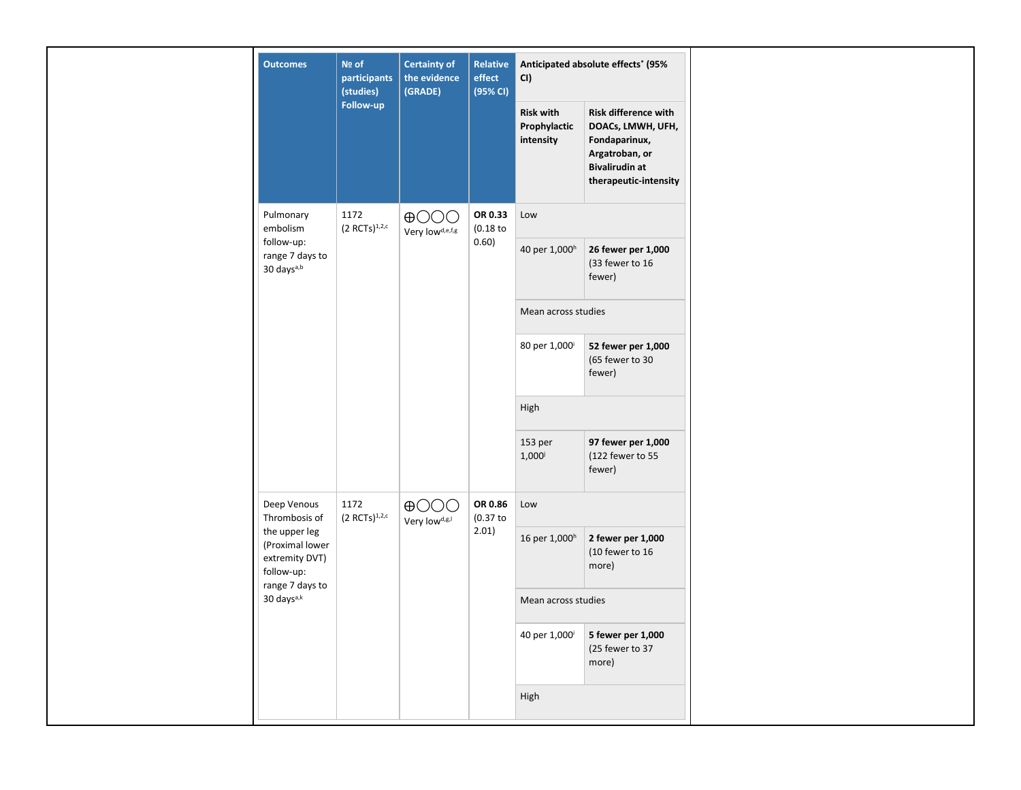| <b>Outcomes</b>                                                  | Nº of<br>participants<br>(studies) | <b>Certainty of</b><br>the evidence<br>(GRADE) | Relative<br>Anticipated absolute effects* (95%<br>effect<br>CI)<br>(95% CI) |                                               |                                                                                                                                |  |
|------------------------------------------------------------------|------------------------------------|------------------------------------------------|-----------------------------------------------------------------------------|-----------------------------------------------|--------------------------------------------------------------------------------------------------------------------------------|--|
|                                                                  | Follow-up                          |                                                |                                                                             | <b>Risk with</b><br>Prophylactic<br>intensity | Risk difference with<br>DOACs, LMWH, UFH,<br>Fondaparinux,<br>Argatroban, or<br><b>Bivalirudin at</b><br>therapeutic-intensity |  |
| Pulmonary<br>embolism                                            | 1172<br>$(2 RCTs)^{1,2,c}$         | $\bigoplus$ OOO<br>Very lowd,e,f,g             | OR 0.33<br>(0.18)                                                           | Low                                           |                                                                                                                                |  |
| follow-up:<br>range 7 days to<br>30 days <sup>a,b</sup>          |                                    |                                                | 0.60)                                                                       | 40 per 1,000h                                 | 26 fewer per 1,000<br>(33 fewer to 16<br>fewer)                                                                                |  |
|                                                                  |                                    |                                                |                                                                             | Mean across studies                           |                                                                                                                                |  |
|                                                                  |                                    |                                                |                                                                             | 80 per 1,000                                  | 52 fewer per 1,000<br>(65 fewer to 30<br>fewer)                                                                                |  |
|                                                                  |                                    |                                                |                                                                             | High                                          |                                                                                                                                |  |
|                                                                  |                                    |                                                |                                                                             | 153 per<br>$1,000^{j}$                        | 97 fewer per 1,000<br>(122 fewer to 55<br>fewer)                                                                               |  |
| Deep Venous<br>Thrombosis of                                     | 1172<br>$(2 RCTs)^{1,2,c}$         | $\bigoplus$ OOO<br>Very lowd,g,l               | OR 0.86<br>(0.37)<br>2.01)                                                  | Low                                           |                                                                                                                                |  |
| the upper leg<br>(Proximal lower<br>extremity DVT)<br>follow-up: |                                    |                                                |                                                                             | 16 per 1,000h                                 | 2 fewer per 1,000<br>(10 fewer to 16<br>more)                                                                                  |  |
| range 7 days to<br>30 days <sup>a,k</sup>                        |                                    |                                                |                                                                             | Mean across studies                           |                                                                                                                                |  |
|                                                                  |                                    |                                                |                                                                             | 40 per 1,000 <sup>i</sup>                     | 5 fewer per 1,000<br>(25 fewer to 37<br>more)                                                                                  |  |
|                                                                  |                                    |                                                |                                                                             | High                                          |                                                                                                                                |  |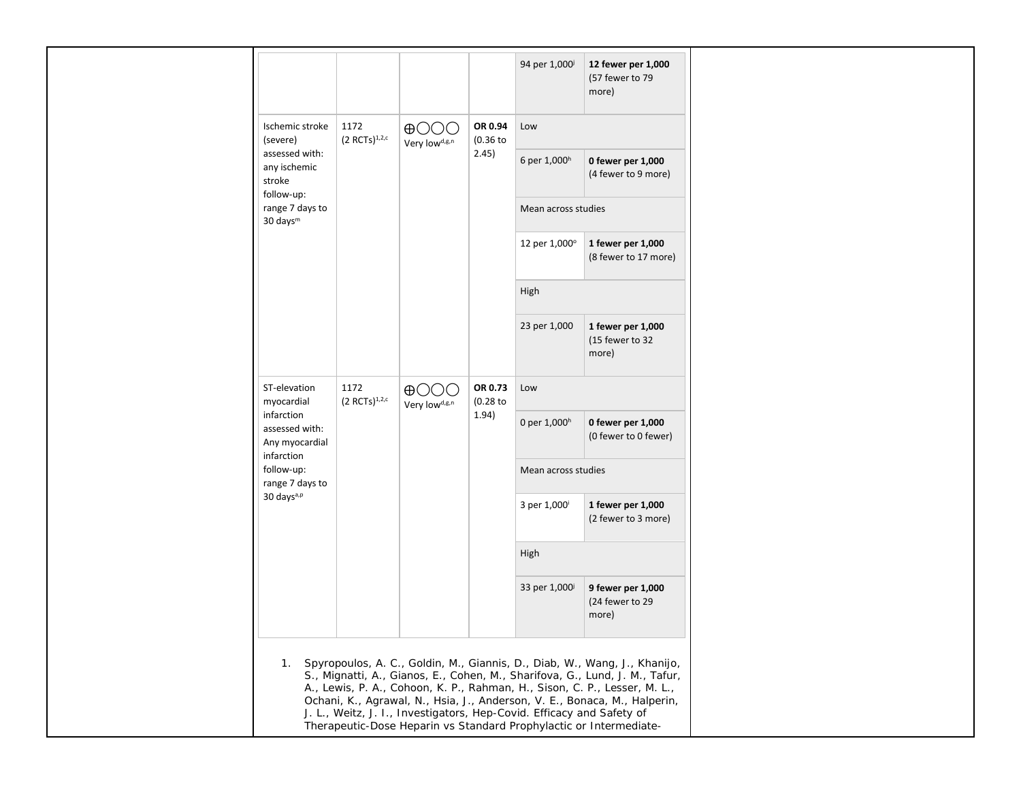|                                                       |                            |                                          |                       |                           | (57 fewer to 79<br>more)                      |  |
|-------------------------------------------------------|----------------------------|------------------------------------------|-----------------------|---------------------------|-----------------------------------------------|--|
| Ischemic stroke<br>(severe)                           | 1172<br>$(2 RCTs)^{1,2,c}$ | $\oplus$ OOO<br>Very lowd,g,n            | OR 0.94<br>(0.36)     | Low                       |                                               |  |
| assessed with:<br>any ischemic<br>stroke              |                            |                                          | 2.45)                 | 6 per 1,000h              | 0 fewer per 1,000<br>(4 fewer to 9 more)      |  |
| follow-up:<br>range 7 days to<br>30 days <sup>m</sup> |                            |                                          |                       |                           | Mean across studies                           |  |
|                                                       |                            |                                          |                       | 12 per 1,000°             | 1 fewer per 1,000<br>(8 fewer to 17 more)     |  |
|                                                       |                            |                                          |                       | High                      |                                               |  |
|                                                       |                            |                                          |                       | 23 per 1,000              | 1 fewer per 1,000<br>(15 fewer to 32<br>more) |  |
| ST-elevation<br>myocardial                            | 1172<br>$(2 RCTs)^{1,2,c}$ | $\oplus$ OO<br>Very low <sup>d,g,n</sup> | OR 0.73<br>$(0.28$ to | Low                       |                                               |  |
| infarction<br>assessed with:<br>Any myocardial        |                            |                                          | 1.94)                 | 0 per 1,000h              | 0 fewer per 1,000<br>(0 fewer to 0 fewer)     |  |
| infarction<br>follow-up:<br>range 7 days to           |                            |                                          |                       | Mean across studies       |                                               |  |
| 30 days <sup>a,p</sup>                                |                            |                                          |                       | 3 per 1,000               | 1 fewer per 1,000<br>(2 fewer to 3 more)      |  |
|                                                       |                            |                                          |                       | High                      |                                               |  |
|                                                       |                            |                                          |                       | 33 per 1,000 <sup>j</sup> | 9 fewer per 1,000<br>(24 fewer to 29<br>more) |  |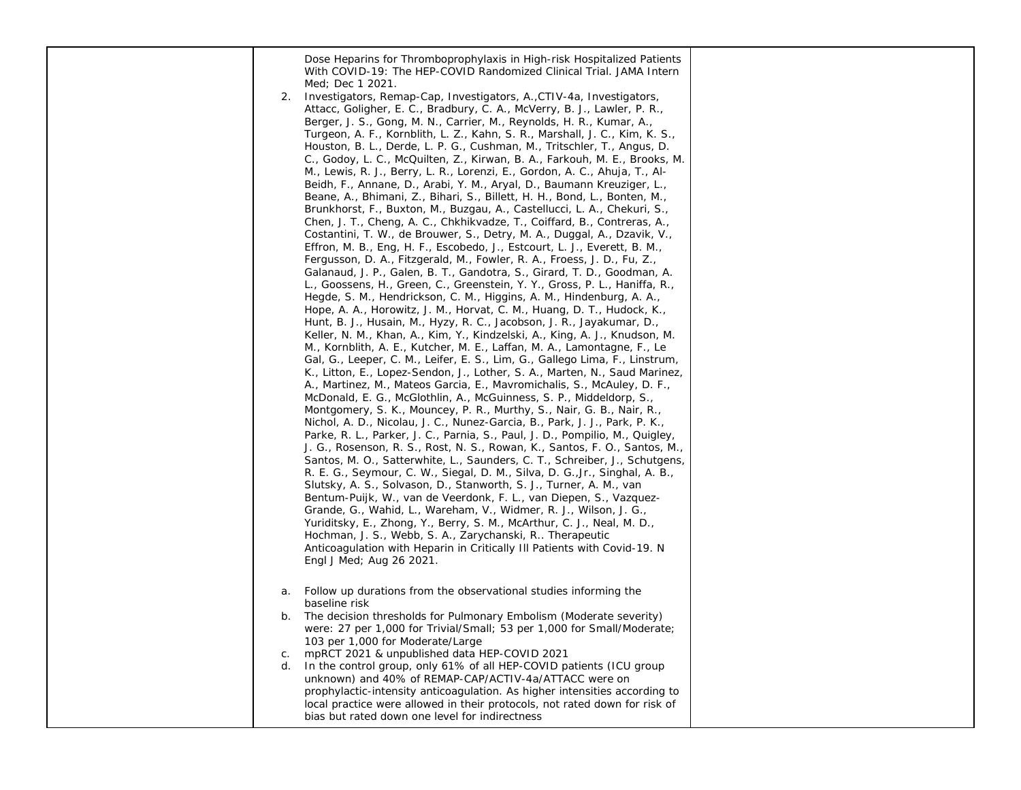| 2.                   | Dose Heparins for Thromboprophylaxis in High-risk Hospitalized Patients<br>With COVID-19: The HEP-COVID Randomized Clinical Trial. JAMA Intern<br>Med; Dec 1 2021.<br>Investigators, Remap-Cap, Investigators, A., CTIV-4a, Investigators,<br>Attacc, Goligher, E. C., Bradbury, C. A., McVerry, B. J., Lawler, P. R.,<br>Berger, J. S., Gong, M. N., Carrier, M., Reynolds, H. R., Kumar, A.,<br>Turgeon, A. F., Kornblith, L. Z., Kahn, S. R., Marshall, J. C., Kim, K. S.,<br>Houston, B. L., Derde, L. P. G., Cushman, M., Tritschler, T., Angus, D.<br>C., Godoy, L. C., McQuilten, Z., Kirwan, B. A., Farkouh, M. E., Brooks, M.<br>M., Lewis, R. J., Berry, L. R., Lorenzi, E., Gordon, A. C., Ahuja, T., Al-<br>Beidh, F., Annane, D., Arabi, Y. M., Aryal, D., Baumann Kreuziger, L.,<br>Beane, A., Bhimani, Z., Bihari, S., Billett, H. H., Bond, L., Bonten, M.,<br>Brunkhorst, F., Buxton, M., Buzgau, A., Castellucci, L. A., Chekuri, S.,<br>Chen, J. T., Cheng, A. C., Chkhikvadze, T., Coiffard, B., Contreras, A.,<br>Costantini, T. W., de Brouwer, S., Detry, M. A., Duggal, A., Dzavik, V.,<br>Effron, M. B., Eng, H. F., Escobedo, J., Estcourt, L. J., Everett, B. M.,<br>Fergusson, D. A., Fitzgerald, M., Fowler, R. A., Froess, J. D., Fu, Z.,<br>Galanaud, J. P., Galen, B. T., Gandotra, S., Girard, T. D., Goodman, A.<br>L., Goossens, H., Green, C., Greenstein, Y. Y., Gross, P. L., Haniffa, R.,<br>Hegde, S. M., Hendrickson, C. M., Higgins, A. M., Hindenburg, A. A.,<br>Hope, A. A., Horowitz, J. M., Horvat, C. M., Huang, D. T., Hudock, K.,<br>Hunt, B. J., Husain, M., Hyzy, R. C., Jacobson, J. R., Jayakumar, D.,<br>Keller, N. M., Khan, A., Kim, Y., Kindzelski, A., King, A. J., Knudson, M.<br>M., Kornblith, A. E., Kutcher, M. E., Laffan, M. A., Lamontagne, F., Le<br>Gal, G., Leeper, C. M., Leifer, E. S., Lim, G., Gallego Lima, F., Linstrum,<br>K., Litton, E., Lopez-Sendon, J., Lother, S. A., Marten, N., Saud Marinez,<br>A., Martinez, M., Mateos Garcia, E., Mavromichalis, S., McAuley, D. F.,<br>McDonald, E. G., McGlothlin, A., McGuinness, S. P., Middeldorp, S.,<br>Montgomery, S. K., Mouncey, P. R., Murthy, S., Nair, G. B., Nair, R.,<br>Nichol, A. D., Nicolau, J. C., Nunez-Garcia, B., Park, J. J., Park, P. K.,<br>Parke, R. L., Parker, J. C., Parnia, S., Paul, J. D., Pompilio, M., Quigley,<br>J. G., Rosenson, R. S., Rost, N. S., Rowan, K., Santos, F. O., Santos, M.,<br>Santos, M. O., Satterwhite, L., Saunders, C. T., Schreiber, J., Schutgens,<br>R. E. G., Seymour, C. W., Siegal, D. M., Silva, D. G., Jr., Singhal, A. B.,<br>Slutsky, A. S., Solvason, D., Stanworth, S. J., Turner, A. M., van<br>Bentum-Puijk, W., van de Veerdonk, F. L., van Diepen, S., Vazquez-<br>Grande, G., Wahid, L., Wareham, V., Widmer, R. J., Wilson, J. G.,<br>Yuriditsky, E., Zhong, Y., Berry, S. M., McArthur, C. J., Neal, M. D.,<br>Hochman, J. S., Webb, S. A., Zarychanski, R Therapeutic<br>Anticoagulation with Heparin in Critically III Patients with Covid-19. N<br>Engl J Med; Aug 26 2021. |  |
|----------------------|-------------------------------------------------------------------------------------------------------------------------------------------------------------------------------------------------------------------------------------------------------------------------------------------------------------------------------------------------------------------------------------------------------------------------------------------------------------------------------------------------------------------------------------------------------------------------------------------------------------------------------------------------------------------------------------------------------------------------------------------------------------------------------------------------------------------------------------------------------------------------------------------------------------------------------------------------------------------------------------------------------------------------------------------------------------------------------------------------------------------------------------------------------------------------------------------------------------------------------------------------------------------------------------------------------------------------------------------------------------------------------------------------------------------------------------------------------------------------------------------------------------------------------------------------------------------------------------------------------------------------------------------------------------------------------------------------------------------------------------------------------------------------------------------------------------------------------------------------------------------------------------------------------------------------------------------------------------------------------------------------------------------------------------------------------------------------------------------------------------------------------------------------------------------------------------------------------------------------------------------------------------------------------------------------------------------------------------------------------------------------------------------------------------------------------------------------------------------------------------------------------------------------------------------------------------------------------------------------------------------------------------------------------------------------------------------------------------------------------------------------------------------------------------------------------------------------------------------------------------------------------------------------------------------------------------------------------------------------------------------------------------------------------------------------------------------------------------|--|
| а.<br>b.<br>C.<br>d. | Follow up durations from the observational studies informing the<br>baseline risk<br>The decision thresholds for Pulmonary Embolism (Moderate severity)<br>were: 27 per 1,000 for Trivial/Small; 53 per 1,000 for Small/Moderate;<br>103 per 1,000 for Moderate/Large<br>mpRCT 2021 & unpublished data HEP-COVID 2021<br>In the control group, only 61% of all HEP-COVID patients (ICU group<br>unknown) and 40% of REMAP-CAP/ACTIV-4a/ATTACC were on<br>prophylactic-intensity anticoagulation. As higher intensities according to<br>local practice were allowed in their protocols, not rated down for risk of<br>bias but rated down one level for indirectness                                                                                                                                                                                                                                                                                                                                                                                                                                                                                                                                                                                                                                                                                                                                                                                                                                                                                                                                                                                                                                                                                                                                                                                                                                                                                                                                                                                                                                                                                                                                                                                                                                                                                                                                                                                                                                                                                                                                                                                                                                                                                                                                                                                                                                                                                                                                                                                                                 |  |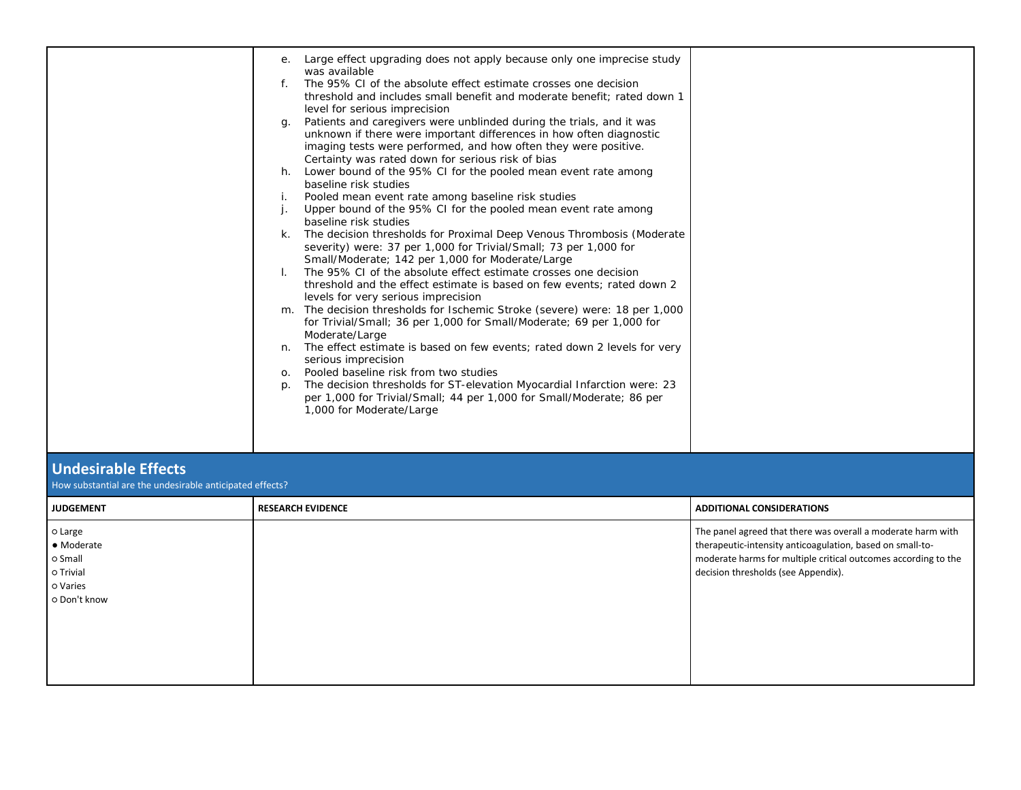|                                                                                        | Large effect upgrading does not apply because only one imprecise study<br>$e_{\cdot}$<br>was available<br>f. The 95% CI of the absolute effect estimate crosses one decision<br>threshold and includes small benefit and moderate benefit; rated down 1<br>level for serious imprecision<br>Patients and caregivers were unblinded during the trials, and it was<br>g.<br>unknown if there were important differences in how often diagnostic<br>imaging tests were performed, and how often they were positive.<br>Certainty was rated down for serious risk of bias<br>h. Lower bound of the 95% CI for the pooled mean event rate among<br>baseline risk studies<br>Pooled mean event rate among baseline risk studies<br>i.<br>Upper bound of the 95% CI for the pooled mean event rate among<br>j.<br>baseline risk studies<br>k. The decision thresholds for Proximal Deep Venous Thrombosis (Moderate<br>severity) were: 37 per 1,000 for Trivial/Small; 73 per 1,000 for<br>Small/Moderate; 142 per 1,000 for Moderate/Large<br>The 95% CI of the absolute effect estimate crosses one decision<br>$\mathbf{L}$<br>threshold and the effect estimate is based on few events; rated down 2<br>levels for very serious imprecision<br>m. The decision thresholds for Ischemic Stroke (severe) were: 18 per 1,000<br>for Trivial/Small; 36 per 1,000 for Small/Moderate; 69 per 1,000 for<br>Moderate/Large<br>n. The effect estimate is based on few events; rated down 2 levels for very<br>serious imprecision<br>Pooled baseline risk from two studies<br>0.<br>The decision thresholds for ST-elevation Myocardial Infarction were: 23<br>p.<br>per 1,000 for Trivial/Small; 44 per 1,000 for Small/Moderate; 86 per<br>1,000 for Moderate/Large |                                                                                                                                                                                                                                    |
|----------------------------------------------------------------------------------------|------------------------------------------------------------------------------------------------------------------------------------------------------------------------------------------------------------------------------------------------------------------------------------------------------------------------------------------------------------------------------------------------------------------------------------------------------------------------------------------------------------------------------------------------------------------------------------------------------------------------------------------------------------------------------------------------------------------------------------------------------------------------------------------------------------------------------------------------------------------------------------------------------------------------------------------------------------------------------------------------------------------------------------------------------------------------------------------------------------------------------------------------------------------------------------------------------------------------------------------------------------------------------------------------------------------------------------------------------------------------------------------------------------------------------------------------------------------------------------------------------------------------------------------------------------------------------------------------------------------------------------------------------------------------------------------------------------------------------------------------------------|------------------------------------------------------------------------------------------------------------------------------------------------------------------------------------------------------------------------------------|
| <b>Undesirable Effects</b><br>How substantial are the undesirable anticipated effects? |                                                                                                                                                                                                                                                                                                                                                                                                                                                                                                                                                                                                                                                                                                                                                                                                                                                                                                                                                                                                                                                                                                                                                                                                                                                                                                                                                                                                                                                                                                                                                                                                                                                                                                                                                            |                                                                                                                                                                                                                                    |
| <b>JUDGEMENT</b>                                                                       | <b>RESEARCH EVIDENCE</b>                                                                                                                                                                                                                                                                                                                                                                                                                                                                                                                                                                                                                                                                                                                                                                                                                                                                                                                                                                                                                                                                                                                                                                                                                                                                                                                                                                                                                                                                                                                                                                                                                                                                                                                                   | <b>ADDITIONAL CONSIDERATIONS</b>                                                                                                                                                                                                   |
| o Large<br>• Moderate<br>o Small<br>o Trivial<br>o Varies<br>o Don't know              |                                                                                                                                                                                                                                                                                                                                                                                                                                                                                                                                                                                                                                                                                                                                                                                                                                                                                                                                                                                                                                                                                                                                                                                                                                                                                                                                                                                                                                                                                                                                                                                                                                                                                                                                                            | The panel agreed that there was overall a moderate harm with<br>therapeutic-intensity anticoagulation, based on small-to-<br>moderate harms for multiple critical outcomes according to the<br>decision thresholds (see Appendix). |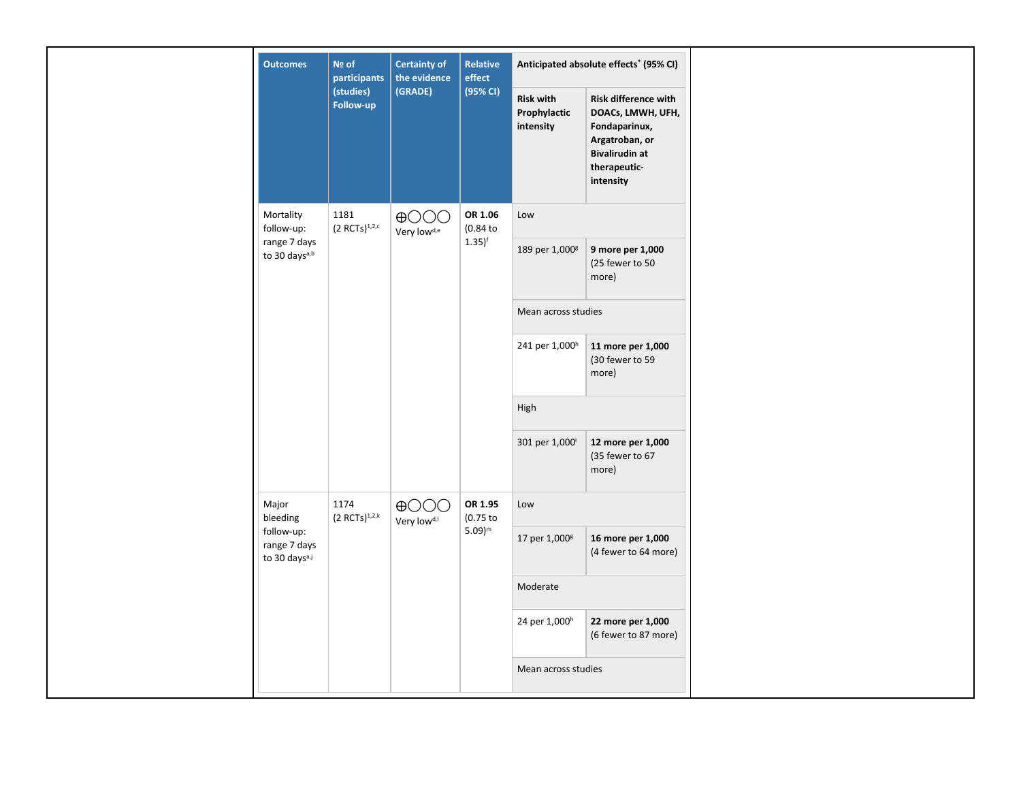| <b>Outcomes</b>                                         | Nº of<br>participants      | <b>Certainty of</b><br>the evidence        | Relative<br>effect    |                                               | Anticipated absolute effects <sup>*</sup> (95% CI)                                                                                 |  |
|---------------------------------------------------------|----------------------------|--------------------------------------------|-----------------------|-----------------------------------------------|------------------------------------------------------------------------------------------------------------------------------------|--|
|                                                         | (studies)<br>Follow-up     | (GRADE)                                    | (95% CI)              | <b>Risk with</b><br>Prophylactic<br>intensity | Risk difference with<br>DOACs, LMWH, UFH,<br>Fondaparinux,<br>Argatroban, or<br><b>Bivalirudin at</b><br>therapeutic-<br>intensity |  |
| Mortality<br>follow-up:                                 | 1181<br>$(2 RCTs)^{1,2,c}$ | $\bigoplus$ OOO<br>Very low <sup>d,e</sup> | OR 1.06<br>(0.84)     | Low                                           |                                                                                                                                    |  |
| range 7 days<br>to 30 days <sup>a,b</sup>               |                            |                                            | $1.35$ <sup>f</sup>   | 189 per 1,000 <sup>g</sup>                    | 9 more per 1,000<br>(25 fewer to 50<br>more)                                                                                       |  |
|                                                         |                            |                                            |                       | Mean across studies                           |                                                                                                                                    |  |
|                                                         |                            |                                            |                       | 241 per 1,000h                                | 11 more per 1,000<br>(30 fewer to 59<br>more)                                                                                      |  |
|                                                         |                            |                                            |                       | High                                          |                                                                                                                                    |  |
|                                                         |                            |                                            |                       | 301 per 1,000                                 | 12 more per 1,000<br>(35 fewer to 67<br>more)                                                                                      |  |
| Major<br>bleeding                                       | 1174<br>$(2 RCTs)^{1,2,k}$ | $\bigoplus$ OOO<br>Very low <sup>d,1</sup> | OR 1.95<br>$(0.75$ to | Low                                           |                                                                                                                                    |  |
| follow-up:<br>range 7 days<br>to 30 days <sup>a,j</sup> |                            |                                            | $5.09)^m$             | 17 per 1,000g                                 | 16 more per 1,000<br>(4 fewer to 64 more)                                                                                          |  |
|                                                         |                            |                                            |                       | Moderate                                      |                                                                                                                                    |  |
|                                                         |                            |                                            |                       | 24 per 1,000 <sup>h</sup>                     | 22 more per 1,000<br>(6 fewer to 87 more)                                                                                          |  |
|                                                         |                            |                                            |                       | Mean across studies                           |                                                                                                                                    |  |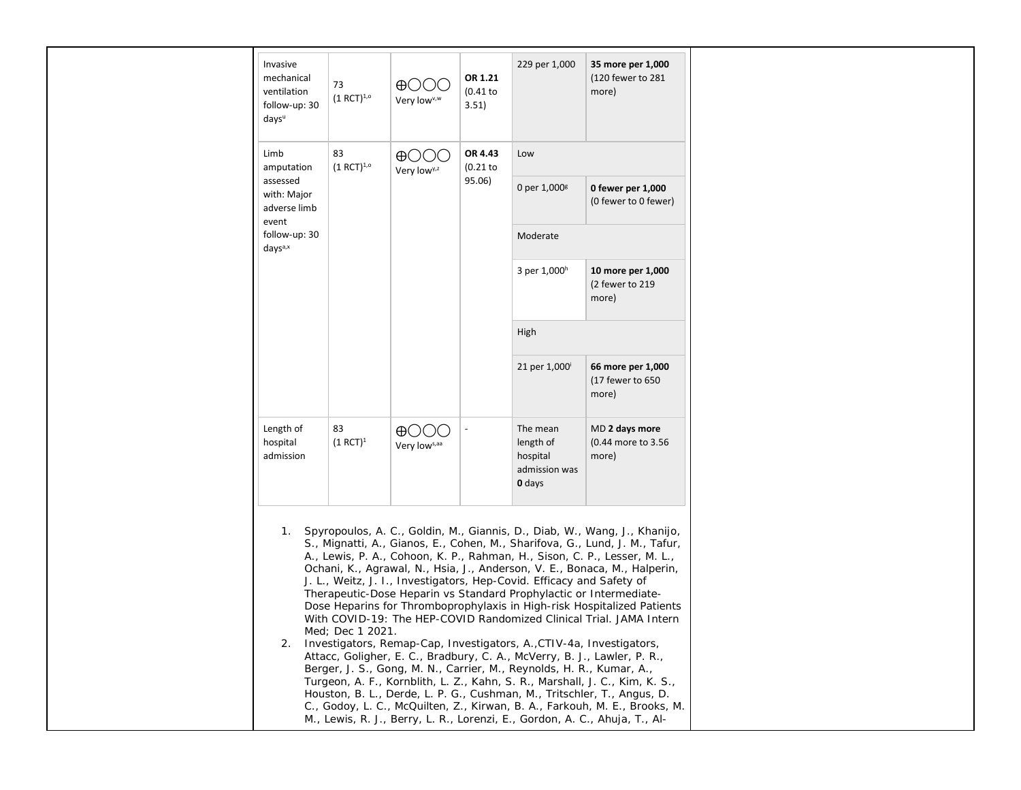| Invasive<br>mechanical<br>ventilation<br>follow-up: 30<br>days <sup>u</sup> | 73<br>$(1 RCT)^{1,0}$ | HH I I<br>Very low <sup>v,w</sup> | OR 1.21<br>$(0.41$ to<br>3.51)  | 229 per 1,000                                                                                                                                 | 35 more per 1,000<br>(120 fewer to 281<br>more)                                                                                                                                                                                                                                                                                                                                                                                                                                                                                                                                                                                                                                                                                                                                                                                                                                                                                                                                                                      |  |                           |                                                |
|-----------------------------------------------------------------------------|-----------------------|-----------------------------------|---------------------------------|-----------------------------------------------------------------------------------------------------------------------------------------------|----------------------------------------------------------------------------------------------------------------------------------------------------------------------------------------------------------------------------------------------------------------------------------------------------------------------------------------------------------------------------------------------------------------------------------------------------------------------------------------------------------------------------------------------------------------------------------------------------------------------------------------------------------------------------------------------------------------------------------------------------------------------------------------------------------------------------------------------------------------------------------------------------------------------------------------------------------------------------------------------------------------------|--|---------------------------|------------------------------------------------|
| Limb<br>amputation                                                          | 83<br>$(1 RCT)^{1,0}$ | ⊕( )<br>Very low <sup>y,z</sup>   | OR 4.43<br>$(0.21$ to<br>95.06) | Low                                                                                                                                           |                                                                                                                                                                                                                                                                                                                                                                                                                                                                                                                                                                                                                                                                                                                                                                                                                                                                                                                                                                                                                      |  |                           |                                                |
| assessed<br>with: Major<br>adverse limb<br>event                            |                       |                                   |                                 | 0 per $1,000$ <sup>g</sup>                                                                                                                    | 0 fewer per 1,000<br>(0 fewer to 0 fewer)                                                                                                                                                                                                                                                                                                                                                                                                                                                                                                                                                                                                                                                                                                                                                                                                                                                                                                                                                                            |  |                           |                                                |
| follow-up: 30<br>days <sup>a,x</sup>                                        |                       |                                   |                                 | Moderate                                                                                                                                      |                                                                                                                                                                                                                                                                                                                                                                                                                                                                                                                                                                                                                                                                                                                                                                                                                                                                                                                                                                                                                      |  |                           |                                                |
|                                                                             |                       |                                   |                                 | 3 per 1,000h                                                                                                                                  | 10 more per 1,000<br>(2 fewer to 219<br>more)                                                                                                                                                                                                                                                                                                                                                                                                                                                                                                                                                                                                                                                                                                                                                                                                                                                                                                                                                                        |  |                           |                                                |
|                                                                             |                       |                                   |                                 | High                                                                                                                                          |                                                                                                                                                                                                                                                                                                                                                                                                                                                                                                                                                                                                                                                                                                                                                                                                                                                                                                                                                                                                                      |  |                           |                                                |
|                                                                             |                       |                                   |                                 |                                                                                                                                               |                                                                                                                                                                                                                                                                                                                                                                                                                                                                                                                                                                                                                                                                                                                                                                                                                                                                                                                                                                                                                      |  | 21 per 1,000 <sup>i</sup> | 66 more per 1,000<br>(17 fewer to 650<br>more) |
| Length of<br>hospital<br>admission                                          | 83<br>$(1 RCT)^1$     | $\oplus$ ( )<br>Very lows, aa     |                                 | The mean<br>length of<br>hospital<br>admission was<br>0 days                                                                                  | MD 2 days more<br>(0.44 more to 3.56<br>more)                                                                                                                                                                                                                                                                                                                                                                                                                                                                                                                                                                                                                                                                                                                                                                                                                                                                                                                                                                        |  |                           |                                                |
| 1.<br>2.                                                                    | Med; Dec 1 2021.      |                                   |                                 | J. L., Weitz, J. I., Investigators, Hep-Covid. Efficacy and Safety of<br>Berger, J. S., Gong, M. N., Carrier, M., Reynolds, H. R., Kumar, A., | Spyropoulos, A. C., Goldin, M., Giannis, D., Diab, W., Wang, J., Khanijo,<br>S., Mignatti, A., Gianos, E., Cohen, M., Sharifova, G., Lund, J. M., Tafur,<br>A., Lewis, P. A., Cohoon, K. P., Rahman, H., Sison, C. P., Lesser, M. L.,<br>Ochani, K., Agrawal, N., Hsia, J., Anderson, V. E., Bonaca, M., Halperin,<br>Therapeutic-Dose Heparin vs Standard Prophylactic or Intermediate-<br>Dose Heparins for Thromboprophylaxis in High-risk Hospitalized Patients<br>With COVID-19: The HEP-COVID Randomized Clinical Trial. JAMA Intern<br>Investigators, Remap-Cap, Investigators, A., CTIV-4a, Investigators,<br>Attacc, Goligher, E. C., Bradbury, C. A., McVerry, B. J., Lawler, P. R.,<br>Turgeon, A. F., Kornblith, L. Z., Kahn, S. R., Marshall, J. C., Kim, K. S.,<br>Houston, B. L., Derde, L. P. G., Cushman, M., Tritschler, T., Angus, D.<br>C., Godoy, L. C., McQuilten, Z., Kirwan, B. A., Farkouh, M. E., Brooks, M.<br>M., Lewis, R. J., Berry, L. R., Lorenzi, E., Gordon, A. C., Ahuja, T., Al- |  |                           |                                                |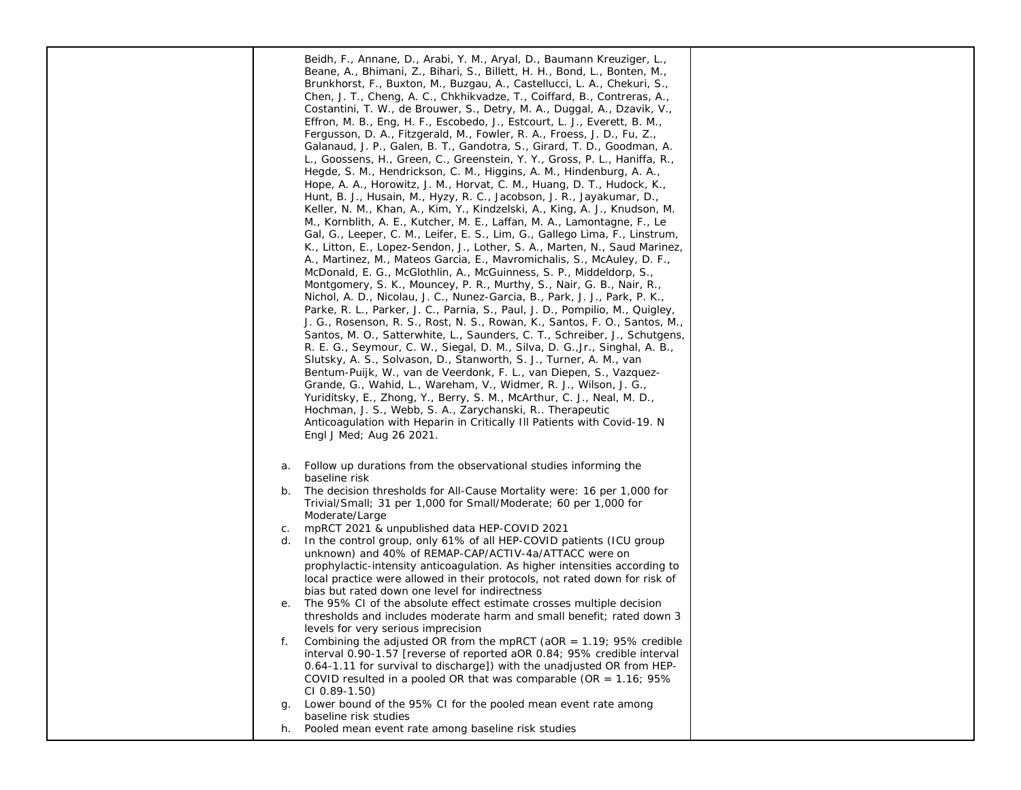|    | Beidh, F., Annane, D., Arabi, Y. M., Aryal, D., Baumann Kreuziger, L.,<br>Beane, A., Bhimani, Z., Bihari, S., Billett, H. H., Bond, L., Bonten, M.,<br>Brunkhorst, F., Buxton, M., Buzgau, A., Castellucci, L. A., Chekuri, S.,<br>Chen, J. T., Cheng, A. C., Chkhikvadze, T., Coiffard, B., Contreras, A.,<br>Costantini, T. W., de Brouwer, S., Detry, M. A., Duggal, A., Dzavik, V.,<br>Effron, M. B., Eng, H. F., Escobedo, J., Estcourt, L. J., Everett, B. M.,<br>Fergusson, D. A., Fitzgerald, M., Fowler, R. A., Froess, J. D., Fu, Z.,<br>Galanaud, J. P., Galen, B. T., Gandotra, S., Girard, T. D., Goodman, A.<br>L., Goossens, H., Green, C., Greenstein, Y. Y., Gross, P. L., Haniffa, R.,<br>Hegde, S. M., Hendrickson, C. M., Higgins, A. M., Hindenburg, A. A.,<br>Hope, A. A., Horowitz, J. M., Horvat, C. M., Huang, D. T., Hudock, K.,<br>Hunt, B. J., Husain, M., Hyzy, R. C., Jacobson, J. R., Jayakumar, D.,<br>Keller, N. M., Khan, A., Kim, Y., Kindzelski, A., King, A. J., Knudson, M.<br>M., Kornblith, A. E., Kutcher, M. E., Laffan, M. A., Lamontagne, F., Le<br>Gal, G., Leeper, C. M., Leifer, E. S., Lim, G., Gallego Lima, F., Linstrum,<br>K., Litton, E., Lopez-Sendon, J., Lother, S. A., Marten, N., Saud Marinez,<br>A., Martinez, M., Mateos Garcia, E., Mavromichalis, S., McAuley, D. F.,<br>McDonald, E. G., McGlothlin, A., McGuinness, S. P., Middeldorp, S.,<br>Montgomery, S. K., Mouncey, P. R., Murthy, S., Nair, G. B., Nair, R.,<br>Nichol, A. D., Nicolau, J. C., Nunez-Garcia, B., Park, J. J., Park, P. K.,<br>Parke, R. L., Parker, J. C., Parnia, S., Paul, J. D., Pompilio, M., Quigley,<br>J. G., Rosenson, R. S., Rost, N. S., Rowan, K., Santos, F. O., Santos, M.,<br>Santos, M. O., Satterwhite, L., Saunders, C. T., Schreiber, J., Schutgens,<br>R. E. G., Seymour, C. W., Siegal, D. M., Silva, D. G., Jr., Singhal, A. B.,<br>Slutsky, A. S., Solvason, D., Stanworth, S. J., Turner, A. M., van<br>Bentum-Puijk, W., van de Veerdonk, F. L., van Diepen, S., Vazquez-<br>Grande, G., Wahid, L., Wareham, V., Widmer, R. J., Wilson, J. G.,<br>Yuriditsky, E., Zhong, Y., Berry, S. M., McArthur, C. J., Neal, M. D.,<br>Hochman, J. S., Webb, S. A., Zarychanski, R Therapeutic<br>Anticoagulation with Heparin in Critically III Patients with Covid-19. N<br>Engl J Med; Aug 26 2021. |  |
|----|-------------------------------------------------------------------------------------------------------------------------------------------------------------------------------------------------------------------------------------------------------------------------------------------------------------------------------------------------------------------------------------------------------------------------------------------------------------------------------------------------------------------------------------------------------------------------------------------------------------------------------------------------------------------------------------------------------------------------------------------------------------------------------------------------------------------------------------------------------------------------------------------------------------------------------------------------------------------------------------------------------------------------------------------------------------------------------------------------------------------------------------------------------------------------------------------------------------------------------------------------------------------------------------------------------------------------------------------------------------------------------------------------------------------------------------------------------------------------------------------------------------------------------------------------------------------------------------------------------------------------------------------------------------------------------------------------------------------------------------------------------------------------------------------------------------------------------------------------------------------------------------------------------------------------------------------------------------------------------------------------------------------------------------------------------------------------------------------------------------------------------------------------------------------------------------------------------------------------------------------------------------------------------------------------------------------------------------------------------------|--|
| a. | Follow up durations from the observational studies informing the<br>baseline risk                                                                                                                                                                                                                                                                                                                                                                                                                                                                                                                                                                                                                                                                                                                                                                                                                                                                                                                                                                                                                                                                                                                                                                                                                                                                                                                                                                                                                                                                                                                                                                                                                                                                                                                                                                                                                                                                                                                                                                                                                                                                                                                                                                                                                                                                           |  |
| b. | The decision thresholds for All-Cause Mortality were: 16 per 1,000 for<br>Trivial/Small; 31 per 1,000 for Small/Moderate; 60 per 1,000 for<br>Moderate/Large                                                                                                                                                                                                                                                                                                                                                                                                                                                                                                                                                                                                                                                                                                                                                                                                                                                                                                                                                                                                                                                                                                                                                                                                                                                                                                                                                                                                                                                                                                                                                                                                                                                                                                                                                                                                                                                                                                                                                                                                                                                                                                                                                                                                |  |
| С. | mpRCT 2021 & unpublished data HEP-COVID 2021                                                                                                                                                                                                                                                                                                                                                                                                                                                                                                                                                                                                                                                                                                                                                                                                                                                                                                                                                                                                                                                                                                                                                                                                                                                                                                                                                                                                                                                                                                                                                                                                                                                                                                                                                                                                                                                                                                                                                                                                                                                                                                                                                                                                                                                                                                                |  |
| d. | In the control group, only 61% of all HEP-COVID patients (ICU group<br>unknown) and 40% of REMAP-CAP/ACTIV-4a/ATTACC were on                                                                                                                                                                                                                                                                                                                                                                                                                                                                                                                                                                                                                                                                                                                                                                                                                                                                                                                                                                                                                                                                                                                                                                                                                                                                                                                                                                                                                                                                                                                                                                                                                                                                                                                                                                                                                                                                                                                                                                                                                                                                                                                                                                                                                                |  |
|    | prophylactic-intensity anticoagulation. As higher intensities according to<br>local practice were allowed in their protocols, not rated down for risk of<br>bias but rated down one level for indirectness                                                                                                                                                                                                                                                                                                                                                                                                                                                                                                                                                                                                                                                                                                                                                                                                                                                                                                                                                                                                                                                                                                                                                                                                                                                                                                                                                                                                                                                                                                                                                                                                                                                                                                                                                                                                                                                                                                                                                                                                                                                                                                                                                  |  |
| е. | The 95% CI of the absolute effect estimate crosses multiple decision                                                                                                                                                                                                                                                                                                                                                                                                                                                                                                                                                                                                                                                                                                                                                                                                                                                                                                                                                                                                                                                                                                                                                                                                                                                                                                                                                                                                                                                                                                                                                                                                                                                                                                                                                                                                                                                                                                                                                                                                                                                                                                                                                                                                                                                                                        |  |
|    | thresholds and includes moderate harm and small benefit; rated down 3                                                                                                                                                                                                                                                                                                                                                                                                                                                                                                                                                                                                                                                                                                                                                                                                                                                                                                                                                                                                                                                                                                                                                                                                                                                                                                                                                                                                                                                                                                                                                                                                                                                                                                                                                                                                                                                                                                                                                                                                                                                                                                                                                                                                                                                                                       |  |
|    | levels for very serious imprecision                                                                                                                                                                                                                                                                                                                                                                                                                                                                                                                                                                                                                                                                                                                                                                                                                                                                                                                                                                                                                                                                                                                                                                                                                                                                                                                                                                                                                                                                                                                                                                                                                                                                                                                                                                                                                                                                                                                                                                                                                                                                                                                                                                                                                                                                                                                         |  |
| f. | Combining the adjusted OR from the mpRCT (aOR = $1.19$ ; 95% credible<br>interval 0.90-1.57 [reverse of reported aOR 0.84; 95% credible interval                                                                                                                                                                                                                                                                                                                                                                                                                                                                                                                                                                                                                                                                                                                                                                                                                                                                                                                                                                                                                                                                                                                                                                                                                                                                                                                                                                                                                                                                                                                                                                                                                                                                                                                                                                                                                                                                                                                                                                                                                                                                                                                                                                                                            |  |
|    | 0.64-1.11 for survival to discharge]) with the unadjusted OR from HEP-<br>COVID resulted in a pooled OR that was comparable (OR = $1.16$ ; 95%                                                                                                                                                                                                                                                                                                                                                                                                                                                                                                                                                                                                                                                                                                                                                                                                                                                                                                                                                                                                                                                                                                                                                                                                                                                                                                                                                                                                                                                                                                                                                                                                                                                                                                                                                                                                                                                                                                                                                                                                                                                                                                                                                                                                              |  |
| g. | CI 0.89-1.50)<br>Lower bound of the 95% CI for the pooled mean event rate among                                                                                                                                                                                                                                                                                                                                                                                                                                                                                                                                                                                                                                                                                                                                                                                                                                                                                                                                                                                                                                                                                                                                                                                                                                                                                                                                                                                                                                                                                                                                                                                                                                                                                                                                                                                                                                                                                                                                                                                                                                                                                                                                                                                                                                                                             |  |
|    | baseline risk studies                                                                                                                                                                                                                                                                                                                                                                                                                                                                                                                                                                                                                                                                                                                                                                                                                                                                                                                                                                                                                                                                                                                                                                                                                                                                                                                                                                                                                                                                                                                                                                                                                                                                                                                                                                                                                                                                                                                                                                                                                                                                                                                                                                                                                                                                                                                                       |  |
| h. | Pooled mean event rate among baseline risk studies                                                                                                                                                                                                                                                                                                                                                                                                                                                                                                                                                                                                                                                                                                                                                                                                                                                                                                                                                                                                                                                                                                                                                                                                                                                                                                                                                                                                                                                                                                                                                                                                                                                                                                                                                                                                                                                                                                                                                                                                                                                                                                                                                                                                                                                                                                          |  |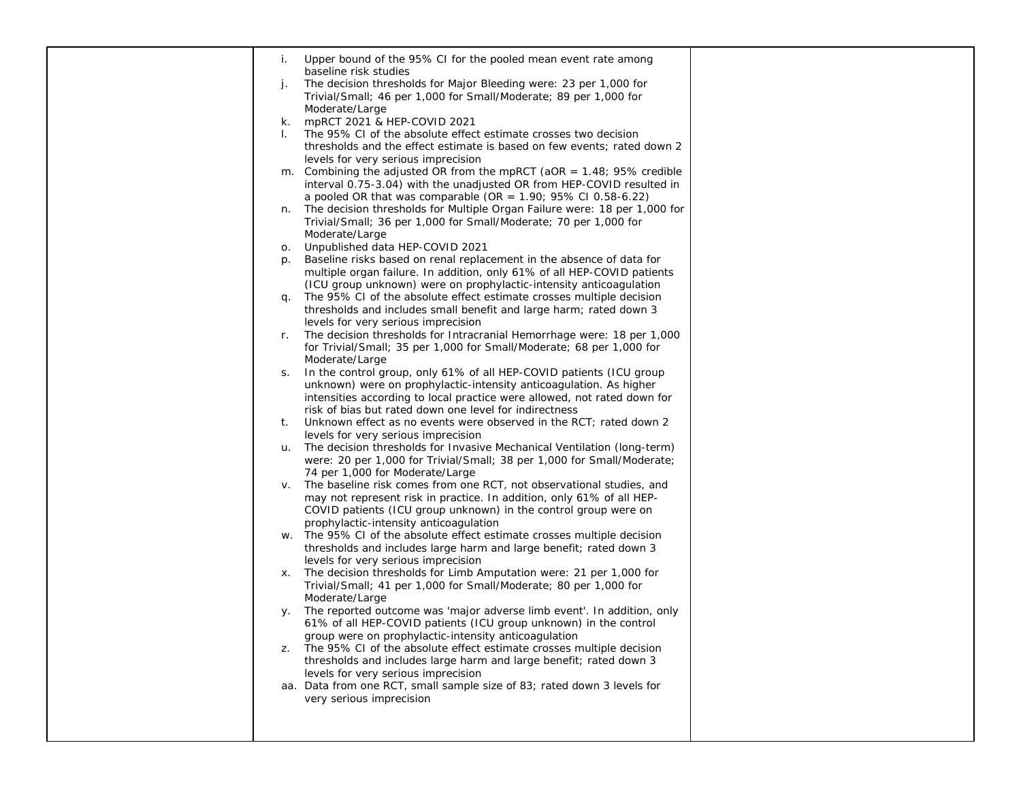| baseline risk studies<br>The decision thresholds for Major Bleeding were: 23 per 1,000 for<br>j.<br>Trivial/Small; 46 per 1,000 for Small/Moderate; 89 per 1,000 for                                                        |  |
|-----------------------------------------------------------------------------------------------------------------------------------------------------------------------------------------------------------------------------|--|
|                                                                                                                                                                                                                             |  |
| Moderate/Large<br>mpRCT 2021 & HEP-COVID 2021<br>k.<br>The 95% CI of the absolute effect estimate crosses two decision                                                                                                      |  |
| thresholds and the effect estimate is based on few events; rated down 2<br>levels for very serious imprecision                                                                                                              |  |
| Combining the adjusted OR from the mpRCT ( $aOR = 1.48$ ; 95% credible<br>m.<br>interval 0.75-3.04) with the unadjusted OR from HEP-COVID resulted in<br>a pooled OR that was comparable (OR = $1.90$ ; 95% CI 0.58-6.22)   |  |
| The decision thresholds for Multiple Organ Failure were: 18 per 1,000 for<br>n.<br>Trivial/Small; 36 per 1,000 for Small/Moderate; 70 per 1,000 for<br>Moderate/Large                                                       |  |
| Unpublished data HEP-COVID 2021<br>О.                                                                                                                                                                                       |  |
| Baseline risks based on renal replacement in the absence of data for<br>p.<br>multiple organ failure. In addition, only 61% of all HEP-COVID patients<br>(ICU group unknown) were on prophylactic-intensity anticoagulation |  |
| The 95% CI of the absolute effect estimate crosses multiple decision<br>q.<br>thresholds and includes small benefit and large harm; rated down 3                                                                            |  |
| levels for very serious imprecision<br>The decision thresholds for Intracranial Hemorrhage were: 18 per 1,000<br>r.                                                                                                         |  |
| for Trivial/Small; 35 per 1,000 for Small/Moderate; 68 per 1,000 for<br>Moderate/Large                                                                                                                                      |  |
| In the control group, only 61% of all HEP-COVID patients (ICU group<br>S.<br>unknown) were on prophylactic-intensity anticoagulation. As higher<br>intensities according to local practice were allowed, not rated down for |  |
| risk of bias but rated down one level for indirectness<br>Unknown effect as no events were observed in the RCT; rated down 2<br>t.<br>levels for very serious imprecision                                                   |  |
| The decision thresholds for Invasive Mechanical Ventilation (long-term)<br>u.<br>were: 20 per 1,000 for Trivial/Small; 38 per 1,000 for Small/Moderate;<br>74 per 1,000 for Moderate/Large                                  |  |
| The baseline risk comes from one RCT, not observational studies, and<br>V.<br>may not represent risk in practice. In addition, only 61% of all HEP-<br>COVID patients (ICU group unknown) in the control group were on      |  |
| prophylactic-intensity anticoagulation<br>The 95% CI of the absolute effect estimate crosses multiple decision<br>W.                                                                                                        |  |
| thresholds and includes large harm and large benefit; rated down 3<br>levels for very serious imprecision                                                                                                                   |  |
| The decision thresholds for Limb Amputation were: 21 per 1,000 for<br>Х.<br>Trivial/Small; 41 per 1,000 for Small/Moderate; 80 per 1,000 for<br>Moderate/Large                                                              |  |
| The reported outcome was 'major adverse limb event'. In addition, only<br>y.<br>61% of all HEP-COVID patients (ICU group unknown) in the control                                                                            |  |
| group were on prophylactic-intensity anticoagulation<br>The 95% CI of the absolute effect estimate crosses multiple decision<br>Z.<br>thresholds and includes large harm and large benefit; rated down 3                    |  |
| levels for very serious imprecision<br>aa. Data from one RCT, small sample size of 83; rated down 3 levels for<br>very serious imprecision                                                                                  |  |
|                                                                                                                                                                                                                             |  |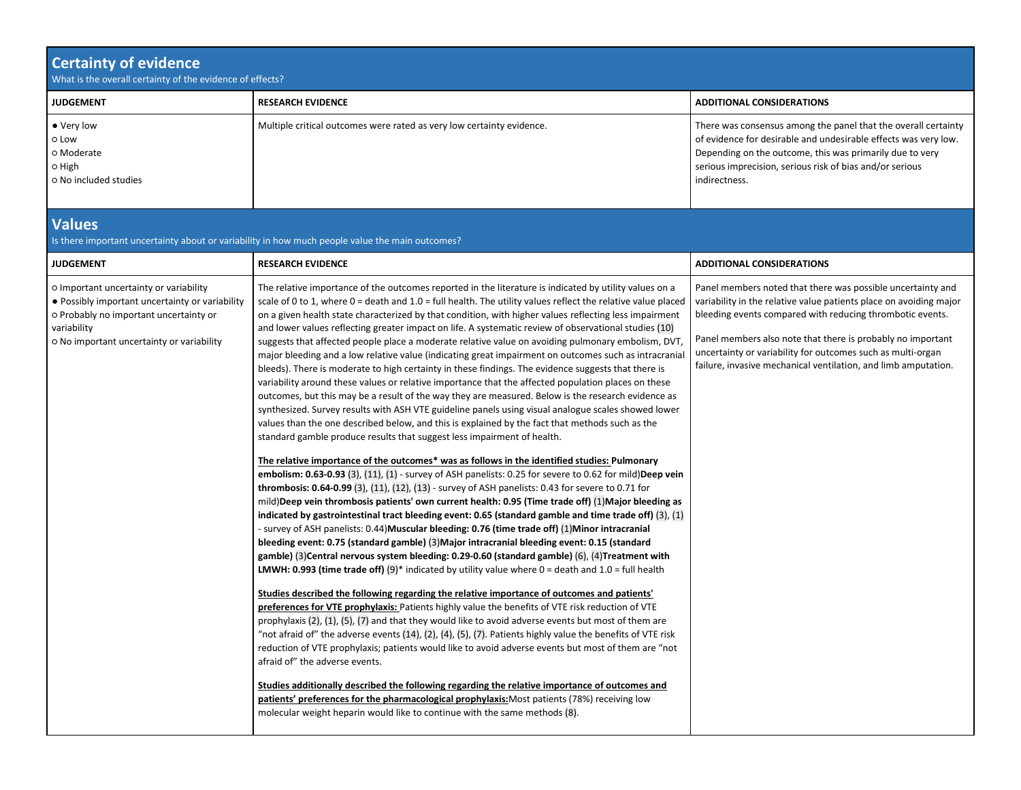| <b>Certainty of evidence</b><br>What is the overall certainty of the evidence of effects?                                                                                                       |                                                                                                                                                                                                                                                                                                                                                                                                                                                                                                                                                                                                                                                                                                                                                                                                                                                                                                                                                                                                                                                                                                                                                                                                                                                                                                                                                                                                                                                                                                                                                                                                                                                                                                                                                                                                                                                                                                                                                                                                                                                                                                                                                                                                                                                                                                                                                                                                                                                                                                                                                                                                                                                                                                                                                                                                                                                                                                                                                                                                                                                                                    |                                                                                                                                                                                                                                                                                                                                                                                                |
|-------------------------------------------------------------------------------------------------------------------------------------------------------------------------------------------------|------------------------------------------------------------------------------------------------------------------------------------------------------------------------------------------------------------------------------------------------------------------------------------------------------------------------------------------------------------------------------------------------------------------------------------------------------------------------------------------------------------------------------------------------------------------------------------------------------------------------------------------------------------------------------------------------------------------------------------------------------------------------------------------------------------------------------------------------------------------------------------------------------------------------------------------------------------------------------------------------------------------------------------------------------------------------------------------------------------------------------------------------------------------------------------------------------------------------------------------------------------------------------------------------------------------------------------------------------------------------------------------------------------------------------------------------------------------------------------------------------------------------------------------------------------------------------------------------------------------------------------------------------------------------------------------------------------------------------------------------------------------------------------------------------------------------------------------------------------------------------------------------------------------------------------------------------------------------------------------------------------------------------------------------------------------------------------------------------------------------------------------------------------------------------------------------------------------------------------------------------------------------------------------------------------------------------------------------------------------------------------------------------------------------------------------------------------------------------------------------------------------------------------------------------------------------------------------------------------------------------------------------------------------------------------------------------------------------------------------------------------------------------------------------------------------------------------------------------------------------------------------------------------------------------------------------------------------------------------------------------------------------------------------------------------------------------------|------------------------------------------------------------------------------------------------------------------------------------------------------------------------------------------------------------------------------------------------------------------------------------------------------------------------------------------------------------------------------------------------|
| <b>JUDGEMENT</b>                                                                                                                                                                                | <b>RESEARCH EVIDENCE</b>                                                                                                                                                                                                                                                                                                                                                                                                                                                                                                                                                                                                                                                                                                                                                                                                                                                                                                                                                                                                                                                                                                                                                                                                                                                                                                                                                                                                                                                                                                                                                                                                                                                                                                                                                                                                                                                                                                                                                                                                                                                                                                                                                                                                                                                                                                                                                                                                                                                                                                                                                                                                                                                                                                                                                                                                                                                                                                                                                                                                                                                           | <b>ADDITIONAL CONSIDERATIONS</b>                                                                                                                                                                                                                                                                                                                                                               |
| • Very low<br>o Low<br>o Moderate<br>0 High<br>o No included studies                                                                                                                            | Multiple critical outcomes were rated as very low certainty evidence.                                                                                                                                                                                                                                                                                                                                                                                                                                                                                                                                                                                                                                                                                                                                                                                                                                                                                                                                                                                                                                                                                                                                                                                                                                                                                                                                                                                                                                                                                                                                                                                                                                                                                                                                                                                                                                                                                                                                                                                                                                                                                                                                                                                                                                                                                                                                                                                                                                                                                                                                                                                                                                                                                                                                                                                                                                                                                                                                                                                                              | There was consensus among the panel that the overall certainty<br>of evidence for desirable and undesirable effects was very low.<br>Depending on the outcome, this was primarily due to very<br>serious imprecision, serious risk of bias and/or serious<br>indirectness.                                                                                                                     |
| <b>Values</b>                                                                                                                                                                                   | Is there important uncertainty about or variability in how much people value the main outcomes?                                                                                                                                                                                                                                                                                                                                                                                                                                                                                                                                                                                                                                                                                                                                                                                                                                                                                                                                                                                                                                                                                                                                                                                                                                                                                                                                                                                                                                                                                                                                                                                                                                                                                                                                                                                                                                                                                                                                                                                                                                                                                                                                                                                                                                                                                                                                                                                                                                                                                                                                                                                                                                                                                                                                                                                                                                                                                                                                                                                    |                                                                                                                                                                                                                                                                                                                                                                                                |
| <b>JUDGEMENT</b>                                                                                                                                                                                | <b>RESEARCH EVIDENCE</b>                                                                                                                                                                                                                                                                                                                                                                                                                                                                                                                                                                                                                                                                                                                                                                                                                                                                                                                                                                                                                                                                                                                                                                                                                                                                                                                                                                                                                                                                                                                                                                                                                                                                                                                                                                                                                                                                                                                                                                                                                                                                                                                                                                                                                                                                                                                                                                                                                                                                                                                                                                                                                                                                                                                                                                                                                                                                                                                                                                                                                                                           | <b>ADDITIONAL CONSIDERATIONS</b>                                                                                                                                                                                                                                                                                                                                                               |
| O Important uncertainty or variability<br>• Possibly important uncertainty or variability<br>o Probably no important uncertainty or<br>variability<br>o No important uncertainty or variability | The relative importance of the outcomes reported in the literature is indicated by utility values on a<br>scale of 0 to 1, where $0 =$ death and $1.0 =$ full health. The utility values reflect the relative value placed<br>on a given health state characterized by that condition, with higher values reflecting less impairment<br>and lower values reflecting greater impact on life. A systematic review of observational studies (10)<br>suggests that affected people place a moderate relative value on avoiding pulmonary embolism, DVT<br>major bleeding and a low relative value (indicating great impairment on outcomes such as intracranial<br>bleeds). There is moderate to high certainty in these findings. The evidence suggests that there is<br>variability around these values or relative importance that the affected population places on these<br>outcomes, but this may be a result of the way they are measured. Below is the research evidence as<br>synthesized. Survey results with ASH VTE guideline panels using visual analogue scales showed lower<br>values than the one described below, and this is explained by the fact that methods such as the<br>standard gamble produce results that suggest less impairment of health.<br>The relative importance of the outcomes* was as follows in the identified studies: Pulmonary<br>embolism: 0.63-0.93 (3), (11), (1) - survey of ASH panelists: 0.25 for severe to 0.62 for mild)Deep vein<br>thrombosis: 0.64-0.99 (3), (11), (12), (13) - survey of ASH panelists: 0.43 for severe to 0.71 for<br>mild)Deep vein thrombosis patients' own current health: 0.95 (Time trade off) (1)Major bleeding as<br>indicated by gastrointestinal tract bleeding event: 0.65 (standard gamble and time trade off) (3), (1)<br>- survey of ASH panelists: 0.44) Muscular bleeding: 0.76 (time trade off) (1) Minor intracranial<br>bleeding event: 0.75 (standard gamble) (3) Major intracranial bleeding event: 0.15 (standard<br>gamble) (3) Central nervous system bleeding: 0.29-0.60 (standard gamble) (6), (4) Treatment with<br><b>LMWH: 0.993 (time trade off)</b> (9)* indicated by utility value where $0 =$ death and $1.0 =$ full health<br>Studies described the following regarding the relative importance of outcomes and patients'<br>preferences for VTE prophylaxis: Patients highly value the benefits of VTE risk reduction of VTE<br>prophylaxis (2), (1), (5), (7) and that they would like to avoid adverse events but most of them are<br>"not afraid of" the adverse events (14), (2), (4), (5), (7). Patients highly value the benefits of VTE risk<br>reduction of VTE prophylaxis; patients would like to avoid adverse events but most of them are "not<br>afraid of" the adverse events.<br>Studies additionally described the following regarding the relative importance of outcomes and<br>patients' preferences for the pharmacological prophylaxis: Most patients (78%) receiving low<br>molecular weight heparin would like to continue with the same methods (8). | Panel members noted that there was possible uncertainty and<br>variability in the relative value patients place on avoiding major<br>bleeding events compared with reducing thrombotic events.<br>Panel members also note that there is probably no important<br>uncertainty or variability for outcomes such as multi-organ<br>failure, invasive mechanical ventilation, and limb amputation. |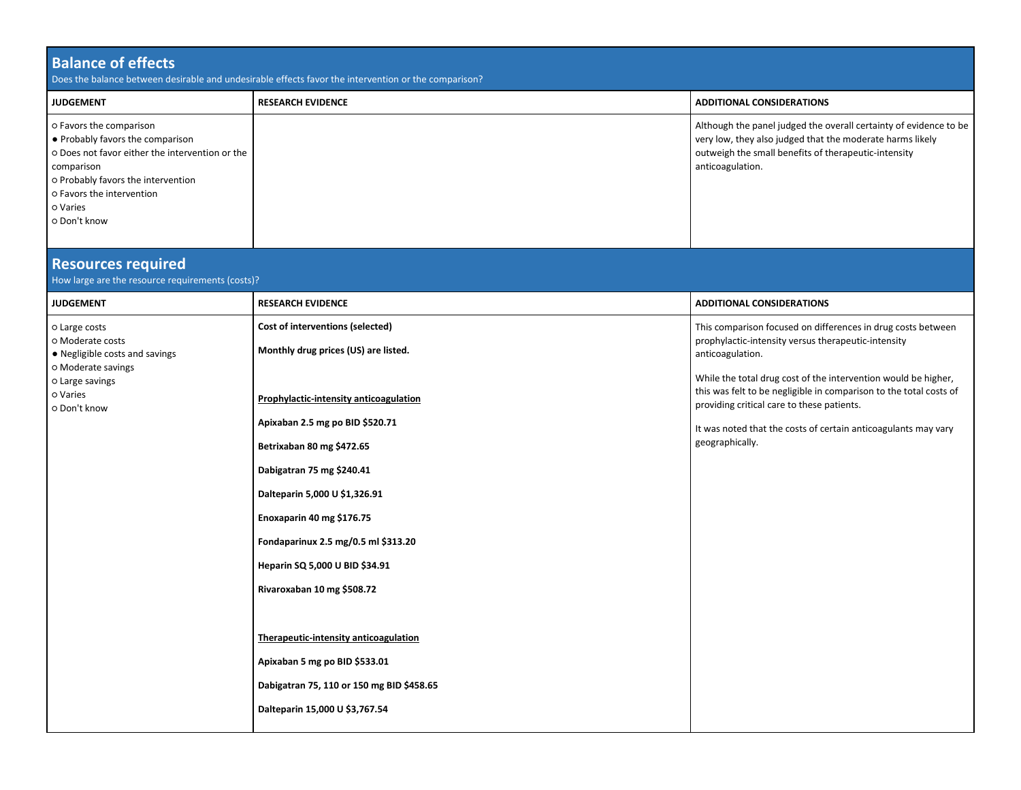| <b>Balance of effects</b><br>Does the balance between desirable and undesirable effects favor the intervention or the comparison?                                                                                           |                                                                                                                                                                                                                                                                                                                                                                                                                                                                |                                                                                                                                                                                                                                                                                                                                                                                                                    |  |
|-----------------------------------------------------------------------------------------------------------------------------------------------------------------------------------------------------------------------------|----------------------------------------------------------------------------------------------------------------------------------------------------------------------------------------------------------------------------------------------------------------------------------------------------------------------------------------------------------------------------------------------------------------------------------------------------------------|--------------------------------------------------------------------------------------------------------------------------------------------------------------------------------------------------------------------------------------------------------------------------------------------------------------------------------------------------------------------------------------------------------------------|--|
| <b>JUDGEMENT</b>                                                                                                                                                                                                            | <b>RESEARCH EVIDENCE</b>                                                                                                                                                                                                                                                                                                                                                                                                                                       | <b>ADDITIONAL CONSIDERATIONS</b>                                                                                                                                                                                                                                                                                                                                                                                   |  |
| o Favors the comparison<br>• Probably favors the comparison<br>o Does not favor either the intervention or the<br>comparison<br>o Probably favors the intervention<br>o Favors the intervention<br>o Varies<br>o Don't know |                                                                                                                                                                                                                                                                                                                                                                                                                                                                | Although the panel judged the overall certainty of evidence to be<br>very low, they also judged that the moderate harms likely<br>outweigh the small benefits of therapeutic-intensity<br>anticoagulation.                                                                                                                                                                                                         |  |
| <b>Resources required</b><br>How large are the resource requirements (costs)?                                                                                                                                               |                                                                                                                                                                                                                                                                                                                                                                                                                                                                |                                                                                                                                                                                                                                                                                                                                                                                                                    |  |
| <b>JUDGEMENT</b>                                                                                                                                                                                                            | <b>RESEARCH EVIDENCE</b>                                                                                                                                                                                                                                                                                                                                                                                                                                       | <b>ADDITIONAL CONSIDERATIONS</b>                                                                                                                                                                                                                                                                                                                                                                                   |  |
| o Large costs<br>o Moderate costs<br>• Negligible costs and savings<br>o Moderate savings<br>o Large savings<br>o Varies<br>o Don't know                                                                                    | Cost of interventions (selected)<br>Monthly drug prices (US) are listed.<br>Prophylactic-intensity anticoagulation<br>Apixaban 2.5 mg po BID \$520.71<br>Betrixaban 80 mg \$472.65<br>Dabigatran 75 mg \$240.41<br>Dalteparin 5,000 U \$1,326.91<br>Enoxaparin 40 mg \$176.75<br>Fondaparinux 2.5 mg/0.5 ml \$313.20<br>Heparin SQ 5,000 U BID \$34.91<br>Rivaroxaban 10 mg \$508.72<br>Therapeutic-intensity anticoagulation<br>Apixaban 5 mg po BID \$533.01 | This comparison focused on differences in drug costs between<br>prophylactic-intensity versus therapeutic-intensity<br>anticoagulation.<br>While the total drug cost of the intervention would be higher,<br>this was felt to be negligible in comparison to the total costs of<br>providing critical care to these patients.<br>It was noted that the costs of certain anticoagulants may vary<br>geographically. |  |
|                                                                                                                                                                                                                             | Dabigatran 75, 110 or 150 mg BID \$458.65<br>Dalteparin 15,000 U \$3,767.54                                                                                                                                                                                                                                                                                                                                                                                    |                                                                                                                                                                                                                                                                                                                                                                                                                    |  |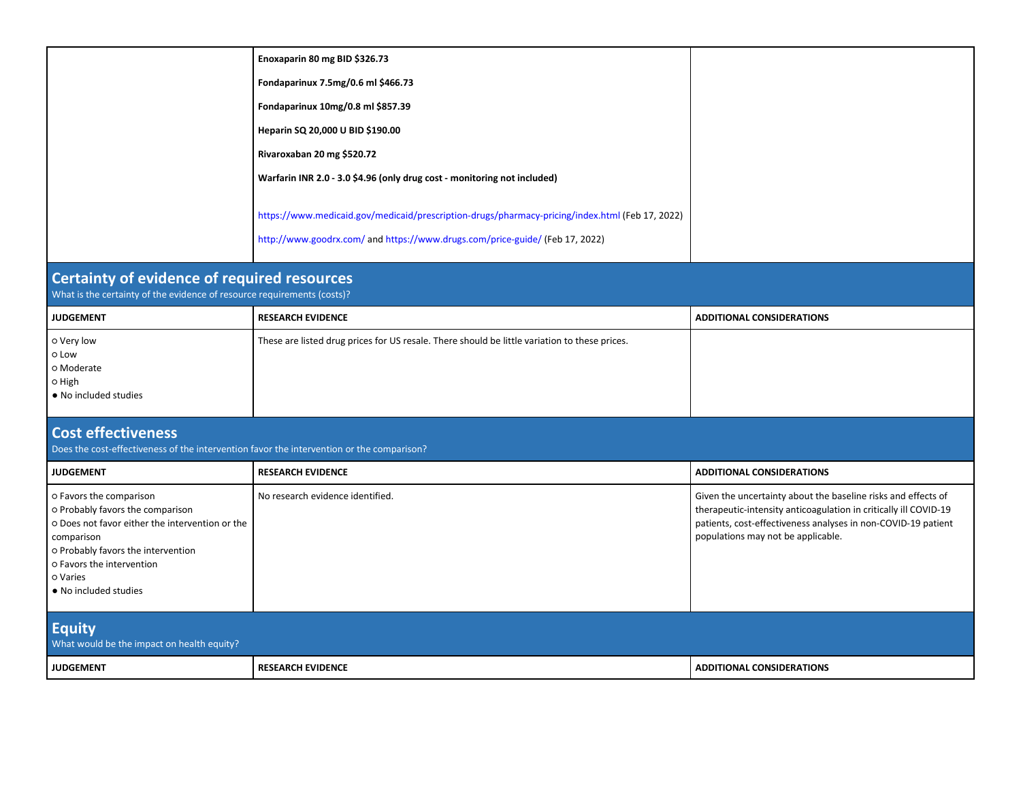|                                                                                                                                                                                                                                      | Enoxaparin 80 mg BID \$326.73                                                                   |                                                                                                                                                                                                                                          |  |
|--------------------------------------------------------------------------------------------------------------------------------------------------------------------------------------------------------------------------------------|-------------------------------------------------------------------------------------------------|------------------------------------------------------------------------------------------------------------------------------------------------------------------------------------------------------------------------------------------|--|
|                                                                                                                                                                                                                                      | Fondaparinux 7.5mg/0.6 ml \$466.73                                                              |                                                                                                                                                                                                                                          |  |
|                                                                                                                                                                                                                                      | Fondaparinux 10mg/0.8 ml \$857.39                                                               |                                                                                                                                                                                                                                          |  |
|                                                                                                                                                                                                                                      | Heparin SQ 20,000 U BID \$190.00                                                                |                                                                                                                                                                                                                                          |  |
|                                                                                                                                                                                                                                      | Rivaroxaban 20 mg \$520.72                                                                      |                                                                                                                                                                                                                                          |  |
|                                                                                                                                                                                                                                      | Warfarin INR 2.0 - 3.0 \$4.96 (only drug cost - monitoring not included)                        |                                                                                                                                                                                                                                          |  |
|                                                                                                                                                                                                                                      | https://www.medicaid.gov/medicaid/prescription-drugs/pharmacy-pricing/index.html (Feb 17, 2022) |                                                                                                                                                                                                                                          |  |
|                                                                                                                                                                                                                                      | http://www.goodrx.com/ and https://www.drugs.com/price-guide/ (Feb 17, 2022)                    |                                                                                                                                                                                                                                          |  |
| <b>Certainty of evidence of required resources</b><br>What is the certainty of the evidence of resource requirements (costs)?                                                                                                        |                                                                                                 |                                                                                                                                                                                                                                          |  |
| <b>JUDGEMENT</b>                                                                                                                                                                                                                     | <b>RESEARCH EVIDENCE</b>                                                                        | <b>ADDITIONAL CONSIDERATIONS</b>                                                                                                                                                                                                         |  |
| o Very low<br>o Low<br>o Moderate<br>O High<br>• No included studies                                                                                                                                                                 | These are listed drug prices for US resale. There should be little variation to these prices.   |                                                                                                                                                                                                                                          |  |
| <b>Cost effectiveness</b><br>Does the cost-effectiveness of the intervention favor the intervention or the comparison?                                                                                                               |                                                                                                 |                                                                                                                                                                                                                                          |  |
| <b>JUDGEMENT</b>                                                                                                                                                                                                                     | <b>RESEARCH EVIDENCE</b>                                                                        | <b>ADDITIONAL CONSIDERATIONS</b>                                                                                                                                                                                                         |  |
| o Favors the comparison<br>o Probably favors the comparison<br>o Does not favor either the intervention or the<br>comparison<br>o Probably favors the intervention<br>o Favors the intervention<br>o Varies<br>• No included studies | No research evidence identified.                                                                | Given the uncertainty about the baseline risks and effects of<br>therapeutic-intensity anticoagulation in critically ill COVID-19<br>patients, cost-effectiveness analyses in non-COVID-19 patient<br>populations may not be applicable. |  |
| <b>Equity</b><br>What would be the impact on health equity?                                                                                                                                                                          |                                                                                                 |                                                                                                                                                                                                                                          |  |
| <b>JUDGEMENT</b>                                                                                                                                                                                                                     | <b>RESEARCH EVIDENCE</b>                                                                        | <b>ADDITIONAL CONSIDERATIONS</b>                                                                                                                                                                                                         |  |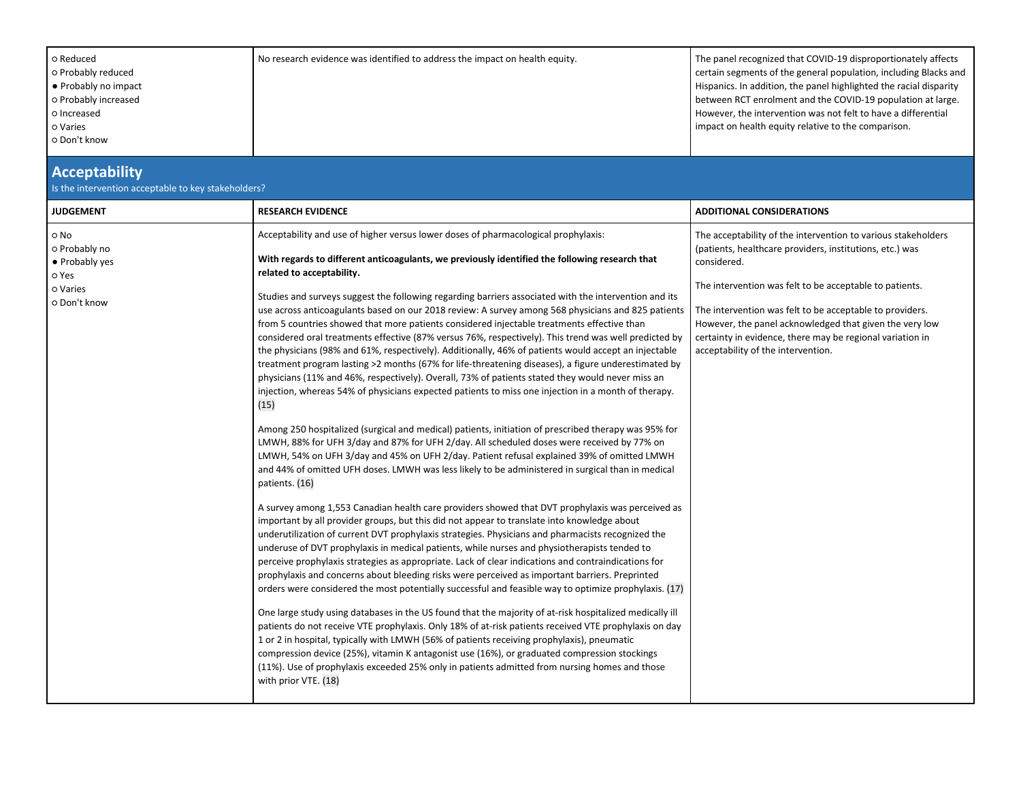| o Reduced<br>o Probably reduced<br>• Probably no impact<br>o Probably increased<br>o Increased<br>o Varies<br>o Don't know | No research evidence was identified to address the impact on health equity.                                                                                                                                                                                                                                                                                                                                                                                                                                                                                                                                                                                                                                                                                                                                                                                                                                                                                                                                                                                                                                                                                                                                                                                                                                                                                                                                                                                                                                                                                                                                                                                                                                                                                                                                                                                                                                                                                                                                                                                                                                                                                                                                                                                                                                                                                                                                                                                                                                                                                                                                                                                                                                                                                               | The panel recognized that COVID-19 disproportionately affects<br>certain segments of the general population, including Blacks and<br>Hispanics. In addition, the panel highlighted the racial disparity<br>between RCT enrolment and the COVID-19 population at large.<br>However, the intervention was not felt to have a differential<br>impact on health equity relative to the comparison.                                |
|----------------------------------------------------------------------------------------------------------------------------|---------------------------------------------------------------------------------------------------------------------------------------------------------------------------------------------------------------------------------------------------------------------------------------------------------------------------------------------------------------------------------------------------------------------------------------------------------------------------------------------------------------------------------------------------------------------------------------------------------------------------------------------------------------------------------------------------------------------------------------------------------------------------------------------------------------------------------------------------------------------------------------------------------------------------------------------------------------------------------------------------------------------------------------------------------------------------------------------------------------------------------------------------------------------------------------------------------------------------------------------------------------------------------------------------------------------------------------------------------------------------------------------------------------------------------------------------------------------------------------------------------------------------------------------------------------------------------------------------------------------------------------------------------------------------------------------------------------------------------------------------------------------------------------------------------------------------------------------------------------------------------------------------------------------------------------------------------------------------------------------------------------------------------------------------------------------------------------------------------------------------------------------------------------------------------------------------------------------------------------------------------------------------------------------------------------------------------------------------------------------------------------------------------------------------------------------------------------------------------------------------------------------------------------------------------------------------------------------------------------------------------------------------------------------------------------------------------------------------------------------------------------------------|-------------------------------------------------------------------------------------------------------------------------------------------------------------------------------------------------------------------------------------------------------------------------------------------------------------------------------------------------------------------------------------------------------------------------------|
| <b>Acceptability</b><br>Is the intervention acceptable to key stakeholders?                                                |                                                                                                                                                                                                                                                                                                                                                                                                                                                                                                                                                                                                                                                                                                                                                                                                                                                                                                                                                                                                                                                                                                                                                                                                                                                                                                                                                                                                                                                                                                                                                                                                                                                                                                                                                                                                                                                                                                                                                                                                                                                                                                                                                                                                                                                                                                                                                                                                                                                                                                                                                                                                                                                                                                                                                                           |                                                                                                                                                                                                                                                                                                                                                                                                                               |
| <b>JUDGEMENT</b>                                                                                                           | <b>RESEARCH EVIDENCE</b>                                                                                                                                                                                                                                                                                                                                                                                                                                                                                                                                                                                                                                                                                                                                                                                                                                                                                                                                                                                                                                                                                                                                                                                                                                                                                                                                                                                                                                                                                                                                                                                                                                                                                                                                                                                                                                                                                                                                                                                                                                                                                                                                                                                                                                                                                                                                                                                                                                                                                                                                                                                                                                                                                                                                                  | <b>ADDITIONAL CONSIDERATIONS</b>                                                                                                                                                                                                                                                                                                                                                                                              |
| o No<br>o Probably no<br>• Probably yes<br>o Yes<br>o Varies<br>o Don't know                                               | Acceptability and use of higher versus lower doses of pharmacological prophylaxis:<br>With regards to different anticoagulants, we previously identified the following research that<br>related to acceptability.<br>Studies and surveys suggest the following regarding barriers associated with the intervention and its<br>use across anticoagulants based on our 2018 review: A survey among 568 physicians and 825 patients<br>from 5 countries showed that more patients considered injectable treatments effective than<br>considered oral treatments effective (87% versus 76%, respectively). This trend was well predicted by<br>the physicians (98% and 61%, respectively). Additionally, 46% of patients would accept an injectable<br>treatment program lasting >2 months (67% for life-threatening diseases), a figure underestimated by<br>physicians (11% and 46%, respectively). Overall, 73% of patients stated they would never miss an<br>injection, whereas 54% of physicians expected patients to miss one injection in a month of therapy.<br>(15)<br>Among 250 hospitalized (surgical and medical) patients, initiation of prescribed therapy was 95% for<br>LMWH, 88% for UFH 3/day and 87% for UFH 2/day. All scheduled doses were received by 77% on<br>LMWH, 54% on UFH 3/day and 45% on UFH 2/day. Patient refusal explained 39% of omitted LMWH<br>and 44% of omitted UFH doses. LMWH was less likely to be administered in surgical than in medical<br>patients. (16)<br>A survey among 1,553 Canadian health care providers showed that DVT prophylaxis was perceived as<br>important by all provider groups, but this did not appear to translate into knowledge about<br>underutilization of current DVT prophylaxis strategies. Physicians and pharmacists recognized the<br>underuse of DVT prophylaxis in medical patients, while nurses and physiotherapists tended to<br>perceive prophylaxis strategies as appropriate. Lack of clear indications and contraindications for<br>prophylaxis and concerns about bleeding risks were perceived as important barriers. Preprinted<br>orders were considered the most potentially successful and feasible way to optimize prophylaxis. (17)<br>One large study using databases in the US found that the majority of at-risk hospitalized medically ill<br>patients do not receive VTE prophylaxis. Only 18% of at-risk patients received VTE prophylaxis on day<br>1 or 2 in hospital, typically with LMWH (56% of patients receiving prophylaxis), pneumatic<br>compression device (25%), vitamin K antagonist use (16%), or graduated compression stockings<br>(11%). Use of prophylaxis exceeded 25% only in patients admitted from nursing homes and those<br>with prior VTE. (18) | The acceptability of the intervention to various stakeholders<br>(patients, healthcare providers, institutions, etc.) was<br>considered.<br>The intervention was felt to be acceptable to patients.<br>The intervention was felt to be acceptable to providers.<br>However, the panel acknowledged that given the very low<br>certainty in evidence, there may be regional variation in<br>acceptability of the intervention. |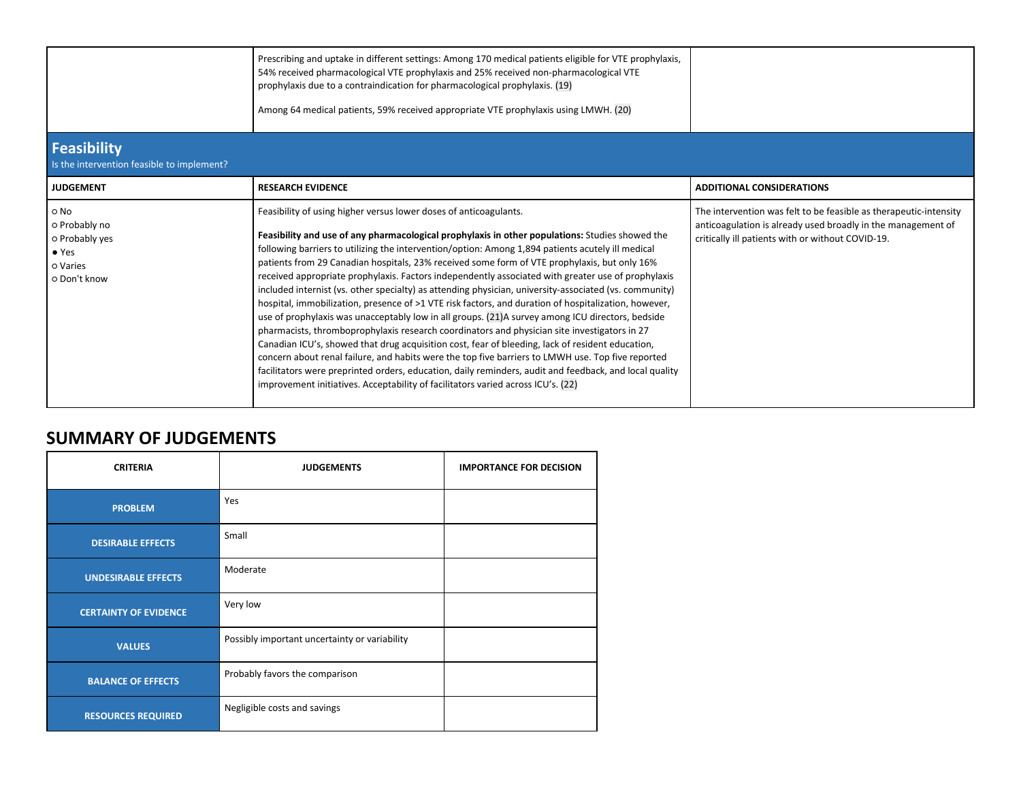|                                                                                      | Prescribing and uptake in different settings: Among 170 medical patients eligible for VTE prophylaxis,<br>54% received pharmacological VTE prophylaxis and 25% received non-pharmacological VTE<br>prophylaxis due to a contraindication for pharmacological prophylaxis. (19)<br>Among 64 medical patients, 59% received appropriate VTE prophylaxis using LMWH. (20)                                                                                                                                                                                                                                                                                                                                                                                                                                                                                                                                                                                                                                                                                                                                                                                                                                                                                                                                       |                                                                                                                                                                                        |
|--------------------------------------------------------------------------------------|--------------------------------------------------------------------------------------------------------------------------------------------------------------------------------------------------------------------------------------------------------------------------------------------------------------------------------------------------------------------------------------------------------------------------------------------------------------------------------------------------------------------------------------------------------------------------------------------------------------------------------------------------------------------------------------------------------------------------------------------------------------------------------------------------------------------------------------------------------------------------------------------------------------------------------------------------------------------------------------------------------------------------------------------------------------------------------------------------------------------------------------------------------------------------------------------------------------------------------------------------------------------------------------------------------------|----------------------------------------------------------------------------------------------------------------------------------------------------------------------------------------|
| Feasibility<br>Is the intervention feasible to implement?                            |                                                                                                                                                                                                                                                                                                                                                                                                                                                                                                                                                                                                                                                                                                                                                                                                                                                                                                                                                                                                                                                                                                                                                                                                                                                                                                              |                                                                                                                                                                                        |
| <b>JUDGEMENT</b>                                                                     | <b>RESEARCH EVIDENCE</b>                                                                                                                                                                                                                                                                                                                                                                                                                                                                                                                                                                                                                                                                                                                                                                                                                                                                                                                                                                                                                                                                                                                                                                                                                                                                                     | <b>ADDITIONAL CONSIDERATIONS</b>                                                                                                                                                       |
| o No<br>o Probably no<br>o Probably yes<br>$\bullet$ Yes<br>o Varies<br>O Don't know | Feasibility of using higher versus lower doses of anticoagulants.<br>Feasibility and use of any pharmacological prophylaxis in other populations: Studies showed the<br>following barriers to utilizing the intervention/option: Among 1,894 patients acutely ill medical<br>patients from 29 Canadian hospitals, 23% received some form of VTE prophylaxis, but only 16%<br>received appropriate prophylaxis. Factors independently associated with greater use of prophylaxis<br>included internist (vs. other specialty) as attending physician, university-associated (vs. community)<br>hospital, immobilization, presence of >1 VTE risk factors, and duration of hospitalization, however,<br>use of prophylaxis was unacceptably low in all groups. (21)A survey among ICU directors, bedside<br>pharmacists, thromboprophylaxis research coordinators and physician site investigators in 27<br>Canadian ICU's, showed that drug acquisition cost, fear of bleeding, lack of resident education,<br>concern about renal failure, and habits were the top five barriers to LMWH use. Top five reported<br>facilitators were preprinted orders, education, daily reminders, audit and feedback, and local quality<br>improvement initiatives. Acceptability of facilitators varied across ICU's. (22) | The intervention was felt to be feasible as therapeutic-intensity<br>anticoagulation is already used broadly in the management of<br>critically ill patients with or without COVID-19. |

## **SUMMARY OF JUDGEMENTS**

| <b>CRITERIA</b>              | <b>JUDGEMENTS</b>                             | <b>IMPORTANCE FOR DECISION</b> |
|------------------------------|-----------------------------------------------|--------------------------------|
| <b>PROBLEM</b>               | Yes                                           |                                |
| <b>DESIRABLE EFFECTS</b>     | Small                                         |                                |
| <b>UNDESIRABLE EFFECTS</b>   | Moderate                                      |                                |
| <b>CERTAINTY OF EVIDENCE</b> | Very low                                      |                                |
| <b>VALUES</b>                | Possibly important uncertainty or variability |                                |
| <b>BALANCE OF EFFECTS</b>    | Probably favors the comparison                |                                |
| <b>RESOURCES REQUIRED</b>    | Negligible costs and savings                  |                                |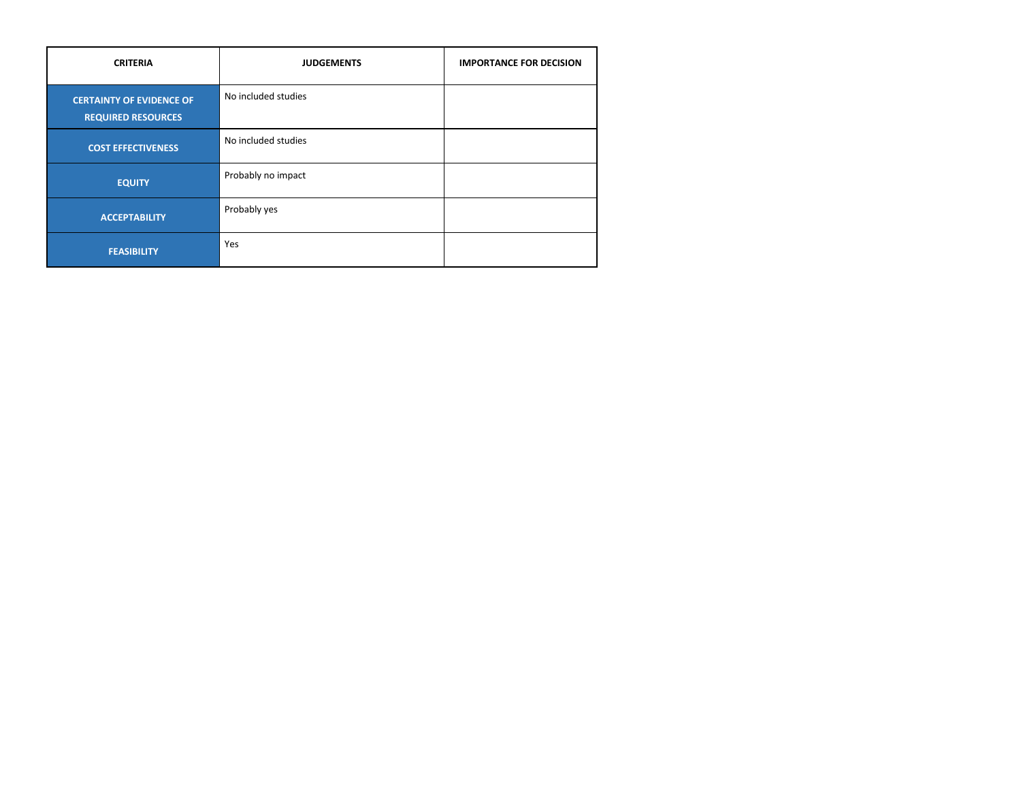| <b>CRITERIA</b>                                              | <b>JUDGEMENTS</b>   | <b>IMPORTANCE FOR DECISION</b> |
|--------------------------------------------------------------|---------------------|--------------------------------|
| <b>CERTAINTY OF EVIDENCE OF</b><br><b>REQUIRED RESOURCES</b> | No included studies |                                |
| <b>COST EFFECTIVENESS</b>                                    | No included studies |                                |
| <b>EQUITY</b>                                                | Probably no impact  |                                |
| <b>ACCEPTABILITY</b>                                         | Probably yes        |                                |
| <b>FEASIBILITY</b>                                           | Yes                 |                                |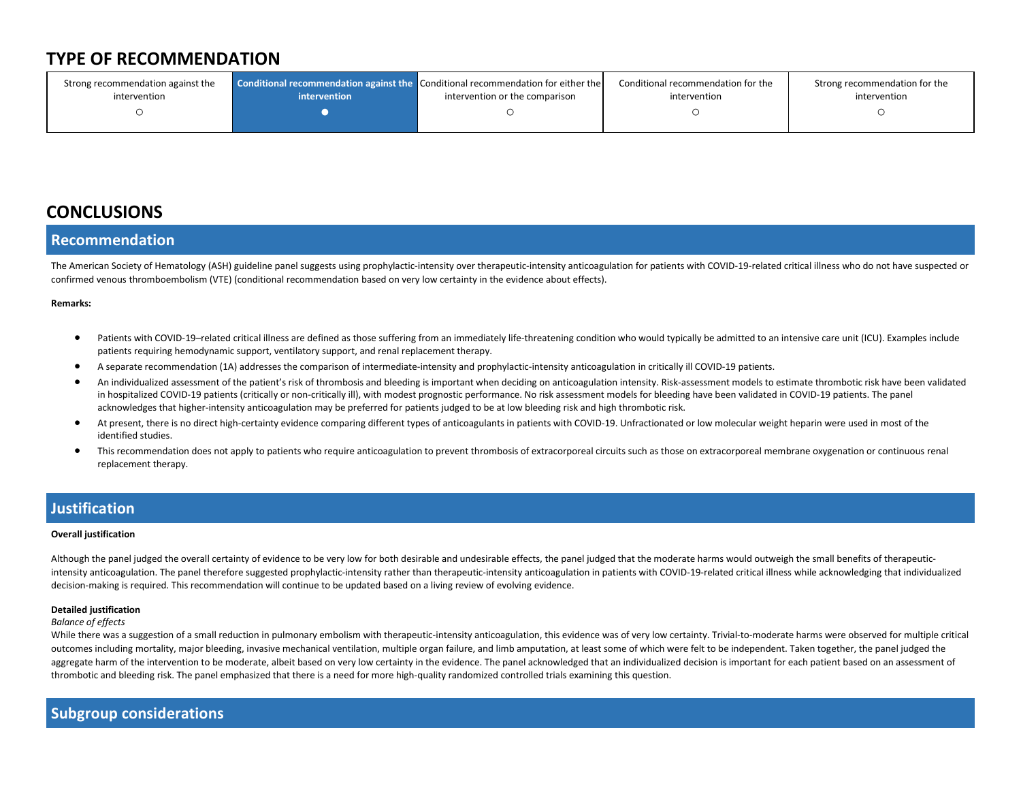## **TYPE OF RECOMMENDATION**

| Strong recommendation against the | intervention | <b>Conditional recommendation against the Conditional recommendation for either the</b> | Conditional recommendation for the | Strong recommendation for the |
|-----------------------------------|--------------|-----------------------------------------------------------------------------------------|------------------------------------|-------------------------------|
| intervention                      |              | intervention or the comparison                                                          | intervention                       | intervention                  |
|                                   |              |                                                                                         |                                    |                               |

## **CONCLUSIONS**

### **Recommendation**

The American Society of Hematology (ASH) guideline panel suggests using prophylactic-intensity over therapeutic-intensity anticoagulation for patients with COVID-19-related critical illness who do not have suspected or confirmed venous thromboembolism (VTE) (conditional recommendation based on very low certainty in the evidence about effects).

#### **Remarks:**

- Patients with COVID-19–related critical illness are defined as those suffering from an immediately life-threatening condition who would typically be admitted to an intensive care unit (ICU). Examples include patients requiring hemodynamic support, ventilatory support, and renal replacement therapy.
- A separate recommendation (1A) addresses the comparison of intermediate-intensity and prophylactic-intensity anticoagulation in critically ill COVID-19 patients.
- An individualized assessment of the patient's risk of thrombosis and bleeding is important when deciding on anticoagulation intensity. Risk-assessment models to estimate thrombotic risk have been validated in hospitalized COVID-19 patients (critically or non-critically ill), with modest prognostic performance. No risk assessment models for bleeding have been validated in COVID-19 patients. The panel acknowledges that higher-intensity anticoagulation may be preferred for patients judged to be at low bleeding risk and high thrombotic risk.
- At present, there is no direct high-certainty evidence comparing different types of anticoagulants in patients with COVID-19. Unfractionated or low molecular weight heparin were used in most of the identified studies.
- This recommendation does not apply to patients who require anticoagulation to prevent thrombosis of extracorporeal circuits such as those on extracorporeal membrane oxygenation or continuous renal replacement therapy.

### **Justification**

#### **Overall justification**

Although the panel judged the overall certainty of evidence to be very low for both desirable and undesirable effects, the panel judged that the moderate harms would outweigh the small benefits of therapeuticintensity anticoagulation. The panel therefore suggested prophylactic-intensity rather than therapeutic-intensity anticoagulation in patients with COVID-19-related critical illness while acknowledging that individualized decision-making is required. This recommendation will continue to be updated based on a living review of evolving evidence.

#### **Detailed justification**

#### *Balance of effects*

While there was a suggestion of a small reduction in pulmonary embolism with therapeutic-intensity anticoagulation, this evidence was of very low certainty. Trivial-to-moderate harms were observed for multiple critical outcomes including mortality, major bleeding, invasive mechanical ventilation, multiple organ failure, and limb amputation, at least some of which were felt to be independent. Taken together, the panel judged the aggregate harm of the intervention to be moderate, albeit based on very low certainty in the evidence. The panel acknowledged that an individualized decision is important for each patient based on an assessment of thrombotic and bleeding risk. The panel emphasized that there is a need for more high-quality randomized controlled trials examining this question.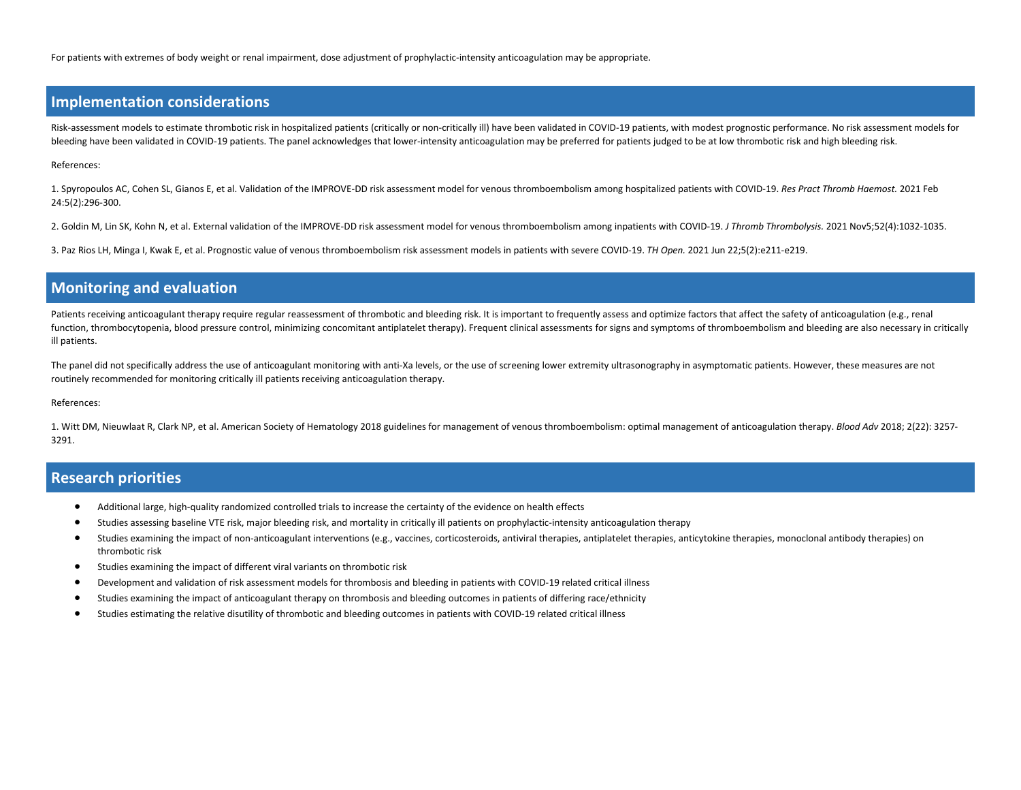For patients with extremes of body weight or renal impairment, dose adjustment of prophylactic-intensity anticoagulation may be appropriate.

### **Implementation considerations**

Risk-assessment models to estimate thrombotic risk in hospitalized patients (critically or non-critically ill) have been validated in COVID-19 patients, with modest prognostic performance. No risk assessment models for bleeding have been validated in COVID-19 patients. The panel acknowledges that lower-intensity anticoagulation may be preferred for patients judged to be at low thrombotic risk and high bleeding risk.

References:

1. Spyropoulos AC, Cohen SL, Gianos E, et al. Validation of the IMPROVE-DD risk assessment model for venous thromboembolism among hospitalized patients with COVID-19. *Res Pract Thromb Haemost.* 2021 Feb 24:5(2):296-300.

2. Goldin M, Lin SK, Kohn N, et al. External validation of the IMPROVE-DD risk assessment model for venous thromboembolism among inpatients with COVID-19. *J Thromb Thrombolysis.* 2021 Nov5;52(4):1032-1035.

3. Paz Rios LH, Minga I, Kwak E, et al. Prognostic value of venous thromboembolism risk assessment models in patients with severe COVID-19. *TH Open.* 2021 Jun 22;5(2):e211-e219.

### **Monitoring and evaluation**

Patients receiving anticoagulant therapy require regular reassessment of thrombotic and bleeding risk. It is important to frequently assess and optimize factors that affect the safety of anticoagulation (e.g., renal function, thrombocytopenia, blood pressure control, minimizing concomitant antiplatelet therapy). Frequent clinical assessments for signs and symptoms of thromboembolism and bleeding are also necessary in critically ill patients.

The panel did not specifically address the use of anticoagulant monitoring with anti-Xa levels, or the use of screening lower extremity ultrasonography in asymptomatic patients. However, these measures are not routinely recommended for monitoring critically ill patients receiving anticoagulation therapy.

#### References:

1. Witt DM, Nieuwlaat R, Clark NP, et al. American Society of Hematology 2018 guidelines for management of venous thromboembolism: optimal management of anticoagulation therapy. *Blood Adv* 2018; 2(22): 3257- 3291.

### **Research priorities**

- Additional large, high-quality randomized controlled trials to increase the certainty of the evidence on health effects
- Studies assessing baseline VTE risk, major bleeding risk, and mortality in critically ill patients on prophylactic-intensity anticoagulation therapy
- Studies examining the impact of non-anticoagulant interventions (e.g., vaccines, corticosteroids, antiviral therapies, antiplatelet therapies, anticytokine therapies, monoclonal antibody therapies) on thrombotic risk
- Studies examining the impact of different viral variants on thrombotic risk
- Development and validation of risk assessment models for thrombosis and bleeding in patients with COVID-19 related critical illness
- Studies examining the impact of anticoagulant therapy on thrombosis and bleeding outcomes in patients of differing race/ethnicity
- Studies estimating the relative disutility of thrombotic and bleeding outcomes in patients with COVID-19 related critical illness